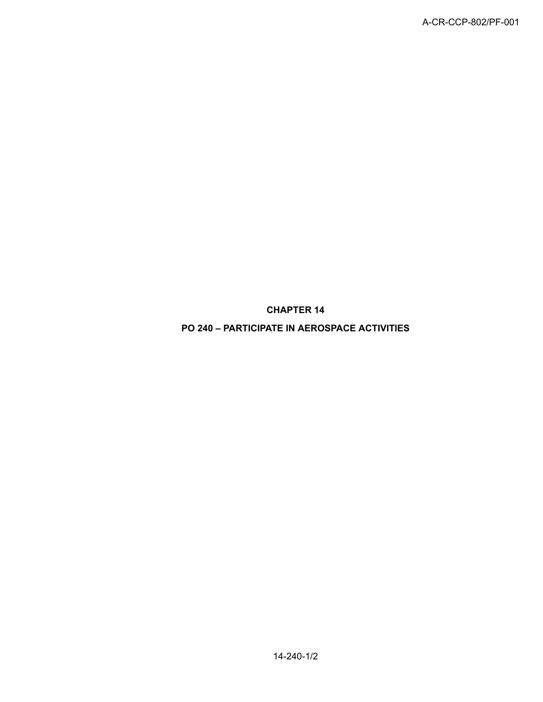**CHAPTER 14**

**PO 240 – PARTICIPATE IN AEROSPACE ACTIVITIES**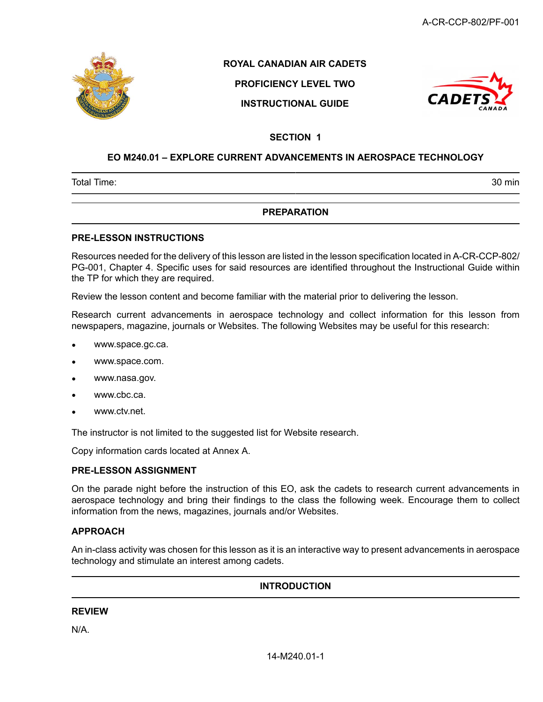

## **ROYAL CANADIAN AIR CADETS**

# **PROFICIENCY LEVEL TWO INSTRUCTIONAL GUIDE**



## **SECTION 1**

## **EO M240.01 – EXPLORE CURRENT ADVANCEMENTS IN AEROSPACE TECHNOLOGY**

Total Time: 30 min

## **PREPARATION**

#### **PRE-LESSON INSTRUCTIONS**

Resources needed for the delivery of this lesson are listed in the lesson specification located in A-CR-CCP-802/ PG-001, Chapter 4. Specific uses for said resources are identified throughout the Instructional Guide within the TP for which they are required.

Review the lesson content and become familiar with the material prior to delivering the lesson.

Research current advancements in aerospace technology and collect information for this lesson from newspapers, magazine, journals or Websites. The following Websites may be useful for this research:

- www.space.gc.ca.
- www.space.com.
- www.nasa.gov.
- www.cbc.ca.
- www.ctv.net.

The instructor is not limited to the suggested list for Website research.

Copy information cards located at Annex A.

## **PRE-LESSON ASSIGNMENT**

On the parade night before the instruction of this EO, ask the cadets to research current advancements in aerospace technology and bring their findings to the class the following week. Encourage them to collect information from the news, magazines, journals and/or Websites.

## **APPROACH**

An in-class activity was chosen for this lesson as it is an interactive way to present advancements in aerospace technology and stimulate an interest among cadets.

## **INTRODUCTION**

### **REVIEW**

N/A.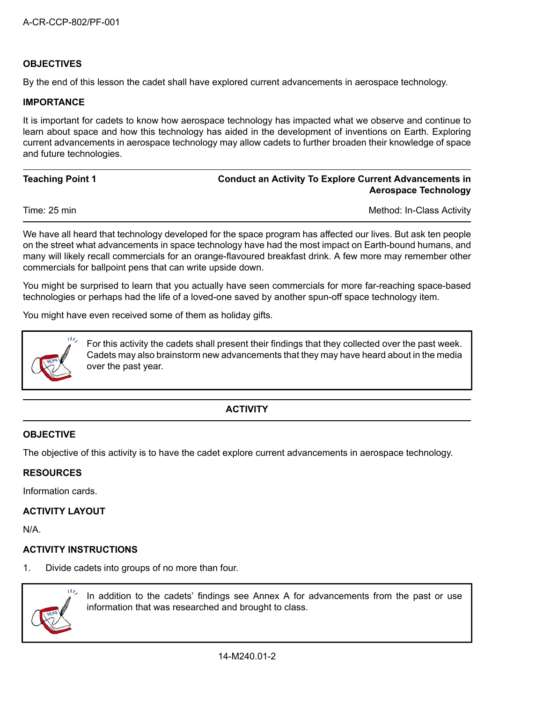## **OBJECTIVES**

By the end of this lesson the cadet shall have explored current advancements in aerospace technology.

#### **IMPORTANCE**

It is important for cadets to know how aerospace technology has impacted what we observe and continue to learn about space and how this technology has aided in the development of inventions on Earth. Exploring current advancements in aerospace technology may allow cadets to further broaden their knowledge of space and future technologies.

### **Teaching Point 1 Conduct an Activity To Explore Current Advancements in Aerospace Technology**

Time: 25 min Method: In-Class Activity

We have all heard that technology developed for the space program has affected our lives. But ask ten people on the street what advancements in space technology have had the most impact on Earth-bound humans, and many will likely recall commercials for an orange-flavoured breakfast drink. A few more may remember other commercials for ballpoint pens that can write upside down.

You might be surprised to learn that you actually have seen commercials for more far-reaching space-based technologies or perhaps had the life of a loved-one saved by another spun-off space technology item.

You might have even received some of them as holiday gifts.



For this activity the cadets shall present their findings that they collected over the past week. Cadets may also brainstorm new advancements that they may have heard about in the media over the past year.

## **ACTIVITY**

## **OBJECTIVE**

The objective of this activity is to have the cadet explore current advancements in aerospace technology.

## **RESOURCES**

Information cards.

## **ACTIVITY LAYOUT**

N/A.

## **ACTIVITY INSTRUCTIONS**

1. Divide cadets into groups of no more than four.



In addition to the cadets' findings see Annex A for advancements from the past or use information that was researched and brought to class.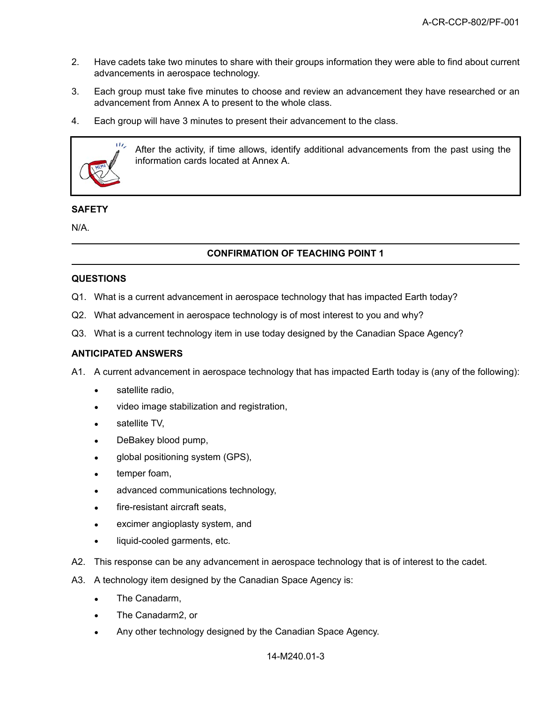- 2. Have cadets take two minutes to share with their groups information they were able to find about current advancements in aerospace technology.
- 3. Each group must take five minutes to choose and review an advancement they have researched or an advancement from Annex A to present to the whole class.
- 4. Each group will have 3 minutes to present their advancement to the class.



After the activity, if time allows, identify additional advancements from the past using the information cards located at Annex A.

## **SAFETY**

N/A.

## **CONFIRMATION OF TEACHING POINT 1**

## **QUESTIONS**

- Q1. What is a current advancement in aerospace technology that has impacted Earth today?
- Q2. What advancement in aerospace technology is of most interest to you and why?
- Q3. What is a current technology item in use today designed by the Canadian Space Agency?

### **ANTICIPATED ANSWERS**

- A1. A current advancement in aerospace technology that has impacted Earth today is (any of the following):
	- satellite radio,
	- video image stabilization and registration,
	- satellite TV,
	- DeBakey blood pump,
	- global positioning system (GPS),
	- temper foam,
	- advanced communications technology,
	- fire-resistant aircraft seats,
	- excimer angioplasty system, and
	- liquid-cooled garments, etc.
- A2. This response can be any advancement in aerospace technology that is of interest to the cadet.
- A3. A technology item designed by the Canadian Space Agency is:
	- The Canadarm,
	- The Canadarm2, or
	- Any other technology designed by the Canadian Space Agency.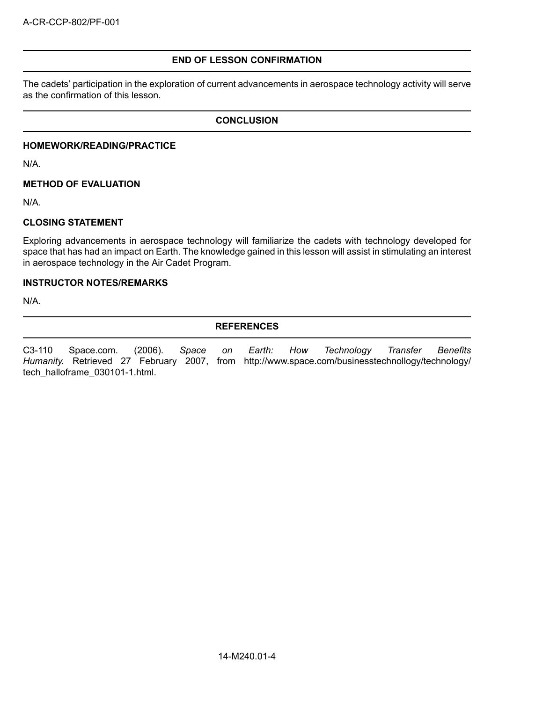## **END OF LESSON CONFIRMATION**

The cadets' participation in the exploration of current advancements in aerospace technology activity will serve as the confirmation of this lesson.

#### **CONCLUSION**

#### **HOMEWORK/READING/PRACTICE**

N/A.

## **METHOD OF EVALUATION**

N/A.

## **CLOSING STATEMENT**

Exploring advancements in aerospace technology will familiarize the cadets with technology developed for space that has had an impact on Earth. The knowledge gained in this lesson will assist in stimulating an interest in aerospace technology in the Air Cadet Program.

## **INSTRUCTOR NOTES/REMARKS**

N/A.

## **REFERENCES**

C3-110 Space.com. (2006). *Space on Earth: How Technology Transfer Benefits Humanity.* Retrieved 27 February 2007, from http://www.space.com/businesstechnollogy/technology/ tech\_halloframe\_030101-1.html.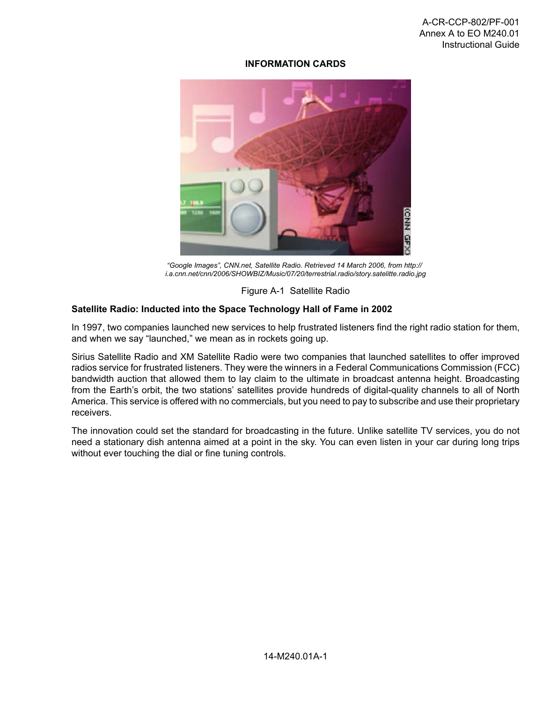### **INFORMATION CARDS**



*"Google Images", CNN.net, Satellite Radio. Retrieved 14 March 2006, from http:// i.a.cnn.net/cnn/2006/SHOWBIZ/Music/07/20/terrestrial.radio/story.satelitte.radio.jpg*

Figure A-1 Satellite Radio

## **Satellite Radio: Inducted into the Space Technology Hall of Fame in 2002**

In 1997, two companies launched new services to help frustrated listeners find the right radio station for them, and when we say "launched," we mean as in rockets going up.

Sirius Satellite Radio and XM Satellite Radio were two companies that launched satellites to offer improved radios service for frustrated listeners. They were the winners in a Federal Communications Commission (FCC) bandwidth auction that allowed them to lay claim to the ultimate in broadcast antenna height. Broadcasting from the Earth's orbit, the two stations' satellites provide hundreds of digital-quality channels to all of North America. This service is offered with no commercials, but you need to pay to subscribe and use their proprietary receivers.

The innovation could set the standard for broadcasting in the future. Unlike satellite TV services, you do not need a stationary dish antenna aimed at a point in the sky. You can even listen in your car during long trips without ever touching the dial or fine tuning controls.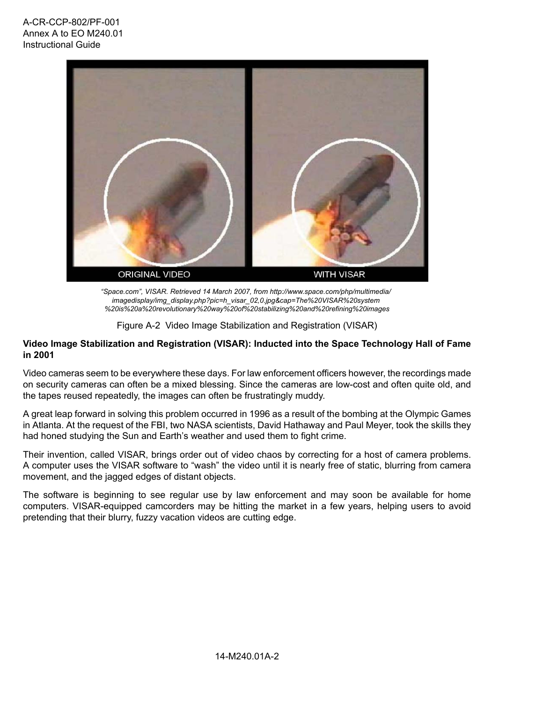

*"Space.com", VISAR. Retrieved 14 March 2007, from http://www.space.com/php/multimedia/ imagedisplay/img\_display.php?pic=h\_visar\_02,0.jpg&cap=The%20VISAR%20system %20is%20a%20revolutionary%20way%20of%20stabilizing%20and%20refining%20images*



## **Video Image Stabilization and Registration (VISAR): Inducted into the Space Technology Hall of Fame in 2001**

Video cameras seem to be everywhere these days. For law enforcement officers however, the recordings made on security cameras can often be a mixed blessing. Since the cameras are low-cost and often quite old, and the tapes reused repeatedly, the images can often be frustratingly muddy.

A great leap forward in solving this problem occurred in 1996 as a result of the bombing at the Olympic Games in Atlanta. At the request of the FBI, two NASA scientists, David Hathaway and Paul Meyer, took the skills they had honed studying the Sun and Earth's weather and used them to fight crime.

Their invention, called VISAR, brings order out of video chaos by correcting for a host of camera problems. A computer uses the VISAR software to "wash" the video until it is nearly free of static, blurring from camera movement, and the jagged edges of distant objects.

The software is beginning to see regular use by law enforcement and may soon be available for home computers. VISAR-equipped camcorders may be hitting the market in a few years, helping users to avoid pretending that their blurry, fuzzy vacation videos are cutting edge.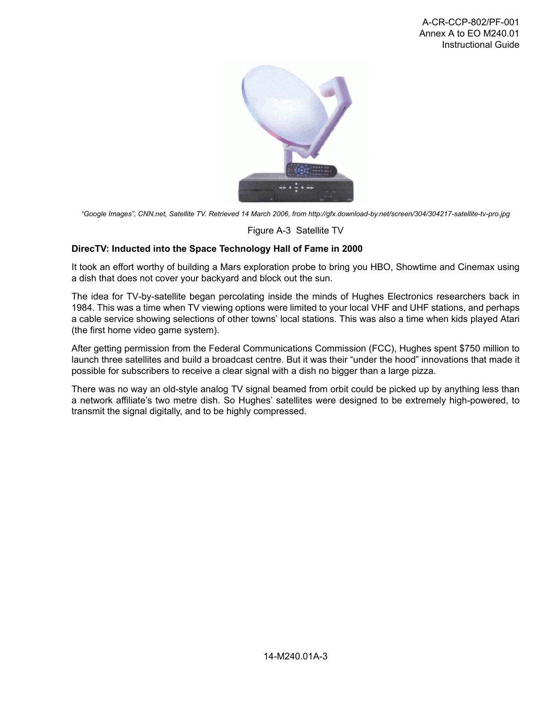

*"Google Images", CNN.net, Satellite TV. Retrieved 14 March 2006, from http://gfx.download-by.net/screen/304/304217-satellite-tv-pro.jpg*

## Figure A-3 Satellite TV

## **DirecTV: Inducted into the Space Technology Hall of Fame in 2000**

It took an effort worthy of building a Mars exploration probe to bring you HBO, Showtime and Cinemax using a dish that does not cover your backyard and block out the sun.

The idea for TV-by-satellite began percolating inside the minds of Hughes Electronics researchers back in 1984. This was a time when TV viewing options were limited to your local VHF and UHF stations, and perhaps a cable service showing selections of other towns' local stations. This was also a time when kids played Atari (the first home video game system).

After getting permission from the Federal Communications Commission (FCC), Hughes spent \$750 million to launch three satellites and build a broadcast centre. But it was their "under the hood" innovations that made it possible for subscribers to receive a clear signal with a dish no bigger than a large pizza.

There was no way an old-style analog TV signal beamed from orbit could be picked up by anything less than a network affiliate's two metre dish. So Hughes' satellites were designed to be extremely high-powered, to transmit the signal digitally, and to be highly compressed.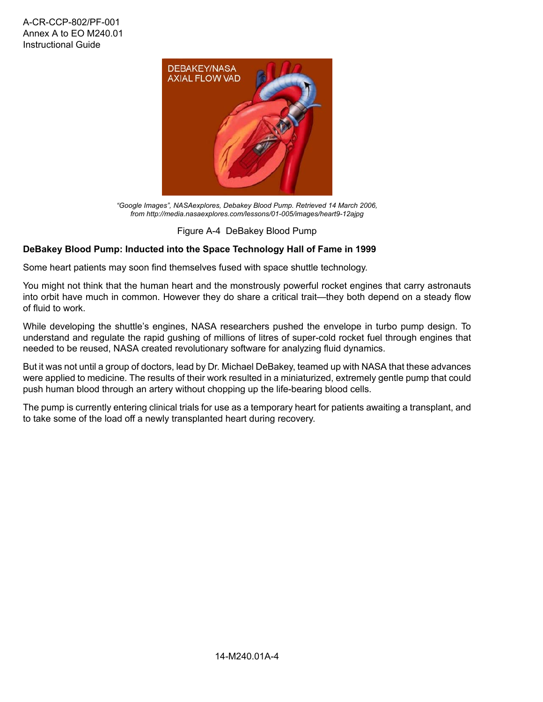

*"Google Images", NASAexplores, Debakey Blood Pump. Retrieved 14 March 2006, from http://media.nasaexplores.com/lessons/01-005/images/heart9-12ajpg*

Figure A-4 DeBakey Blood Pump

## **DeBakey Blood Pump: Inducted into the Space Technology Hall of Fame in 1999**

Some heart patients may soon find themselves fused with space shuttle technology.

You might not think that the human heart and the monstrously powerful rocket engines that carry astronauts into orbit have much in common. However they do share a critical trait—they both depend on a steady flow of fluid to work.

While developing the shuttle's engines, NASA researchers pushed the envelope in turbo pump design. To understand and regulate the rapid gushing of millions of litres of super-cold rocket fuel through engines that needed to be reused, NASA created revolutionary software for analyzing fluid dynamics.

But it was not until a group of doctors, lead by Dr. Michael DeBakey, teamed up with NASA that these advances were applied to medicine. The results of their work resulted in a miniaturized, extremely gentle pump that could push human blood through an artery without chopping up the life-bearing blood cells.

The pump is currently entering clinical trials for use as a temporary heart for patients awaiting a transplant, and to take some of the load off a newly transplanted heart during recovery.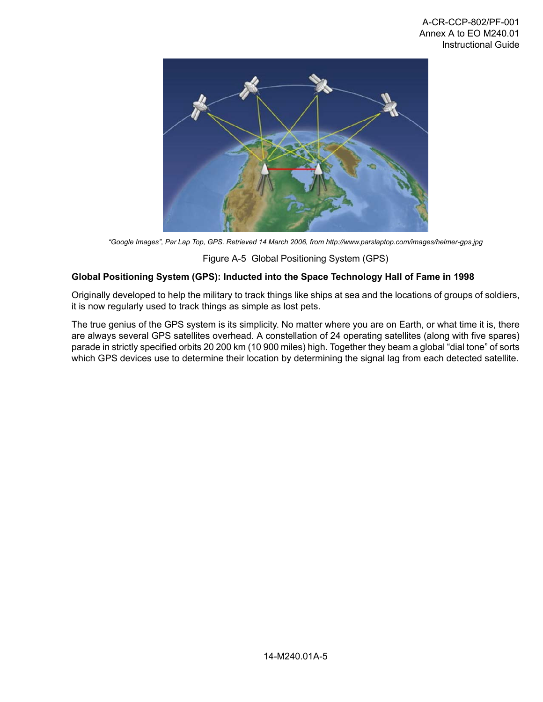

*"Google Images", Par Lap Top, GPS. Retrieved 14 March 2006, from http://www.parslaptop.com/images/helmer-gps.jpg*

## Figure A-5 Global Positioning System (GPS)

## **Global Positioning System (GPS): Inducted into the Space Technology Hall of Fame in 1998**

Originally developed to help the military to track things like ships at sea and the locations of groups of soldiers, it is now regularly used to track things as simple as lost pets.

The true genius of the GPS system is its simplicity. No matter where you are on Earth, or what time it is, there are always several GPS satellites overhead. A constellation of 24 operating satellites (along with five spares) parade in strictly specified orbits 20 200 km (10 900 miles) high. Together they beam a global "dial tone" of sorts which GPS devices use to determine their location by determining the signal lag from each detected satellite.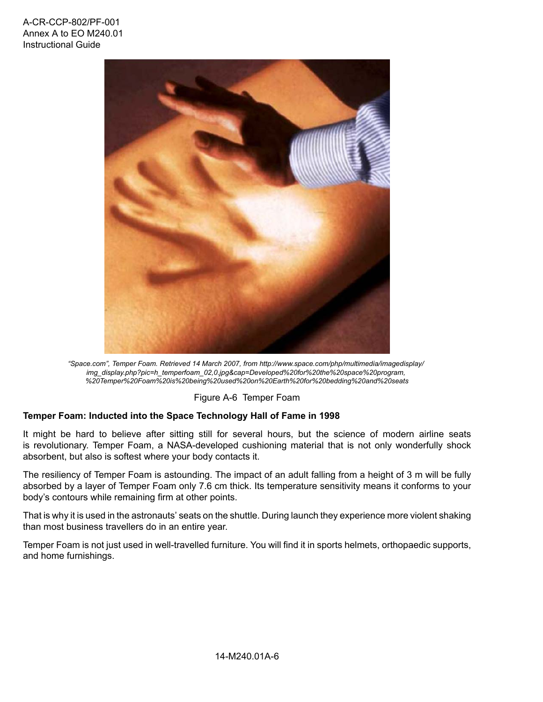## A-CR-CCP-802/PF-001 Annex A to EO M240.01 Instructional Guide



*"Space.com", Temper Foam. Retrieved 14 March 2007, from http://www.space.com/php/multimedia/imagedisplay/ img\_display.php?pic=h\_temperfoam\_02,0.jpg&cap=Developed%20for%20the%20space%20program, %20Temper%20Foam%20is%20being%20used%20on%20Earth%20for%20bedding%20and%20seats*

Figure A-6 Temper Foam

## **Temper Foam: Inducted into the Space Technology Hall of Fame in 1998**

It might be hard to believe after sitting still for several hours, but the science of modern airline seats is revolutionary. Temper Foam, a NASA-developed cushioning material that is not only wonderfully shock absorbent, but also is softest where your body contacts it.

The resiliency of Temper Foam is astounding. The impact of an adult falling from a height of 3 m will be fully absorbed by a layer of Temper Foam only 7.6 cm thick. Its temperature sensitivity means it conforms to your body's contours while remaining firm at other points.

That is why it is used in the astronauts' seats on the shuttle. During launch they experience more violent shaking than most business travellers do in an entire year.

Temper Foam is not just used in well-travelled furniture. You will find it in sports helmets, orthopaedic supports, and home furnishings.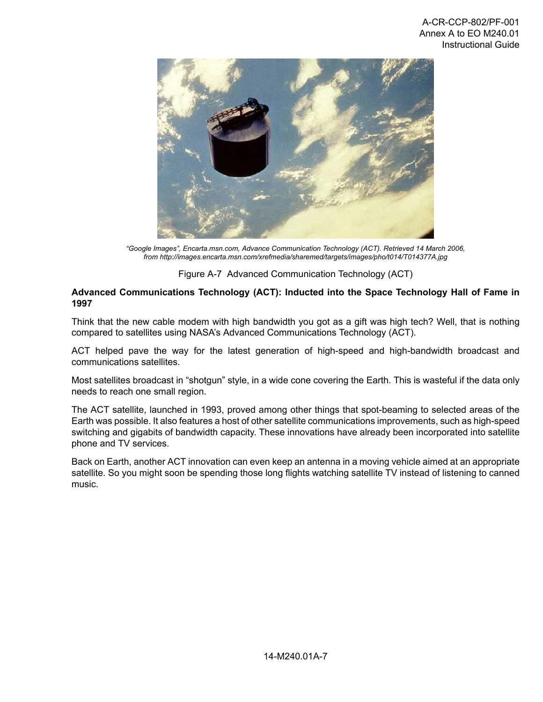

*"Google Images", Encarta.msn.com, Advance Communication Technology (ACT). Retrieved 14 March 2006, from http://images.encarta.msn.com/xrefmedia/sharemed/targets/images/pho/t014/T014377A.jpg*

#### Figure A-7 Advanced Communication Technology (ACT)

## **Advanced Communications Technology (ACT): Inducted into the Space Technology Hall of Fame in 1997**

Think that the new cable modem with high bandwidth you got as a gift was high tech? Well, that is nothing compared to satellites using NASA's Advanced Communications Technology (ACT).

ACT helped pave the way for the latest generation of high-speed and high-bandwidth broadcast and communications satellites.

Most satellites broadcast in "shotgun" style, in a wide cone covering the Earth. This is wasteful if the data only needs to reach one small region.

The ACT satellite, launched in 1993, proved among other things that spot-beaming to selected areas of the Earth was possible. It also features a host of other satellite communications improvements, such as high-speed switching and gigabits of bandwidth capacity. These innovations have already been incorporated into satellite phone and TV services.

Back on Earth, another ACT innovation can even keep an antenna in a moving vehicle aimed at an appropriate satellite. So you might soon be spending those long flights watching satellite TV instead of listening to canned music.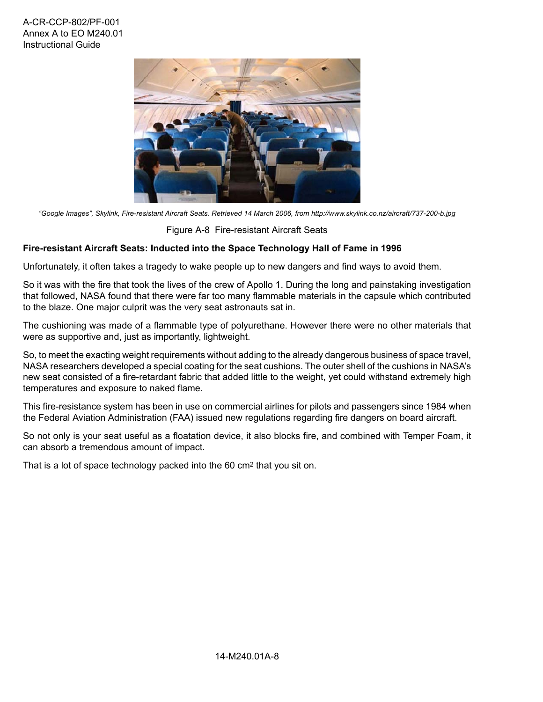

*"Google Images", Skylink, Fire-resistant Aircraft Seats. Retrieved 14 March 2006, from http://www.skylink.co.nz/aircraft/737-200-b.jpg*

Figure A-8 Fire-resistant Aircraft Seats

#### **Fire-resistant Aircraft Seats: Inducted into the Space Technology Hall of Fame in 1996**

Unfortunately, it often takes a tragedy to wake people up to new dangers and find ways to avoid them.

So it was with the fire that took the lives of the crew of Apollo 1. During the long and painstaking investigation that followed, NASA found that there were far too many flammable materials in the capsule which contributed to the blaze. One major culprit was the very seat astronauts sat in.

The cushioning was made of a flammable type of polyurethane. However there were no other materials that were as supportive and, just as importantly, lightweight.

So, to meet the exacting weight requirements without adding to the already dangerous business of space travel, NASA researchers developed a special coating for the seat cushions. The outer shell of the cushions in NASA's new seat consisted of a fire-retardant fabric that added little to the weight, yet could withstand extremely high temperatures and exposure to naked flame.

This fire-resistance system has been in use on commercial airlines for pilots and passengers since 1984 when the Federal Aviation Administration (FAA) issued new regulations regarding fire dangers on board aircraft.

So not only is your seat useful as a floatation device, it also blocks fire, and combined with Temper Foam, it can absorb a tremendous amount of impact.

That is a lot of space technology packed into the 60 cm2 that you sit on.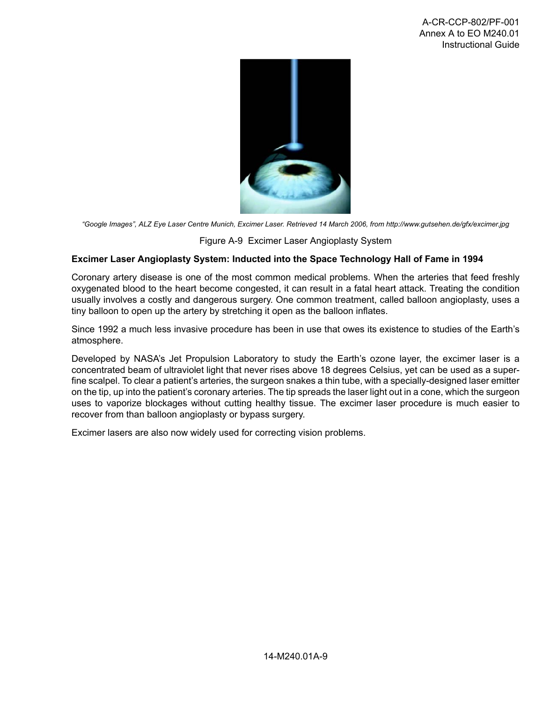

*"Google Images", ALZ Eye Laser Centre Munich, Excimer Laser. Retrieved 14 March 2006, from http://www.gutsehen.de/gfx/excimer.jpg*

#### Figure A-9 Excimer Laser Angioplasty System

#### **Excimer Laser Angioplasty System: Inducted into the Space Technology Hall of Fame in 1994**

Coronary artery disease is one of the most common medical problems. When the arteries that feed freshly oxygenated blood to the heart become congested, it can result in a fatal heart attack. Treating the condition usually involves a costly and dangerous surgery. One common treatment, called balloon angioplasty, uses a tiny balloon to open up the artery by stretching it open as the balloon inflates.

Since 1992 a much less invasive procedure has been in use that owes its existence to studies of the Earth's atmosphere.

Developed by NASA's Jet Propulsion Laboratory to study the Earth's ozone layer, the excimer laser is a concentrated beam of ultraviolet light that never rises above 18 degrees Celsius, yet can be used as a superfine scalpel. To clear a patient's arteries, the surgeon snakes a thin tube, with a specially-designed laser emitter on the tip, up into the patient's coronary arteries. The tip spreads the laser light out in a cone, which the surgeon uses to vaporize blockages without cutting healthy tissue. The excimer laser procedure is much easier to recover from than balloon angioplasty or bypass surgery.

Excimer lasers are also now widely used for correcting vision problems.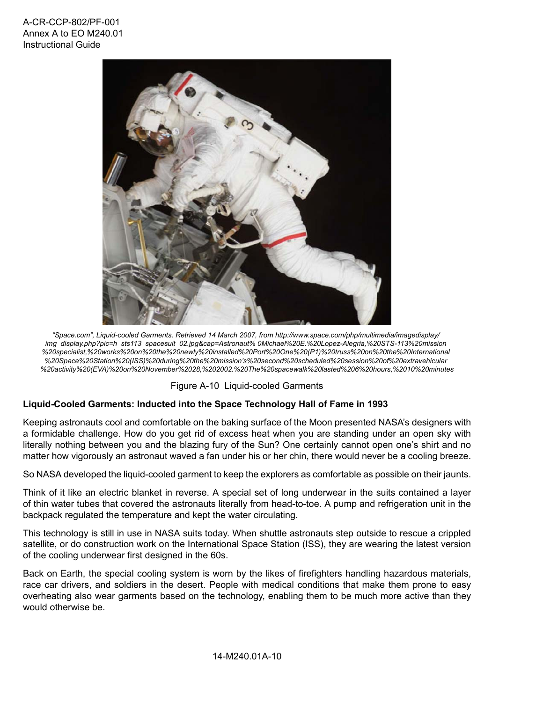

*"Space.com", Liquid-cooled Garments. Retrieved 14 March 2007, from http://www.space.com/php/multimedia/imagedisplay/ img\_display.php?pic=h\_sts113\_spacesuit\_02.jpg&cap=Astronaut% 0Michael%20E.%20Lopez-Alegria,%20STS-113%20mission %20specialist,%20works%20on%20the%20newly%20installed%20Port%20One%20(P1)%20truss%20on%20the%20International %20Space%20Station%20(ISS)%20during%20the%20mission's%20second%20scheduled%20session%20of%20extravehicular %20activity%20(EVA)%20on%20November%2028,%202002.%20The%20spacewalk%20lasted%206%20hours,%2010%20minutes*

Figure A-10 Liquid-cooled Garments

## **Liquid-Cooled Garments: Inducted into the Space Technology Hall of Fame in 1993**

Keeping astronauts cool and comfortable on the baking surface of the Moon presented NASA's designers with a formidable challenge. How do you get rid of excess heat when you are standing under an open sky with literally nothing between you and the blazing fury of the Sun? One certainly cannot open one's shirt and no matter how vigorously an astronaut waved a fan under his or her chin, there would never be a cooling breeze.

So NASA developed the liquid-cooled garment to keep the explorers as comfortable as possible on their jaunts.

Think of it like an electric blanket in reverse. A special set of long underwear in the suits contained a layer of thin water tubes that covered the astronauts literally from head-to-toe. A pump and refrigeration unit in the backpack regulated the temperature and kept the water circulating.

This technology is still in use in NASA suits today. When shuttle astronauts step outside to rescue a crippled satellite, or do construction work on the International Space Station (ISS), they are wearing the latest version of the cooling underwear first designed in the 60s.

Back on Earth, the special cooling system is worn by the likes of firefighters handling hazardous materials, race car drivers, and soldiers in the desert. People with medical conditions that make them prone to easy overheating also wear garments based on the technology, enabling them to be much more active than they would otherwise be.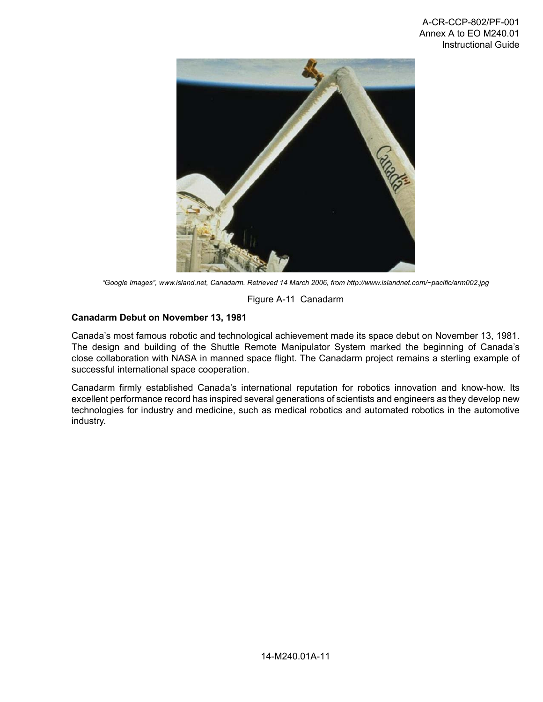#### A-CR-CCP-802/PF-001 Annex A to EO M240.01 Instructional Guide



*"Google Images", www.island.net, Canadarm. Retrieved 14 March 2006, from http://www.islandnet.com/~pacific/arm002.jpg*

## Figure A-11 Canadarm

## **Canadarm Debut on November 13, 1981**

Canada's most famous robotic and technological achievement made its space debut on November 13, 1981. The design and building of the Shuttle Remote Manipulator System marked the beginning of Canada's close collaboration with NASA in manned space flight. The Canadarm project remains a sterling example of successful international space cooperation.

Canadarm firmly established Canada's international reputation for robotics innovation and know-how. Its excellent performance record has inspired several generations of scientists and engineers as they develop new technologies for industry and medicine, such as medical robotics and automated robotics in the automotive industry.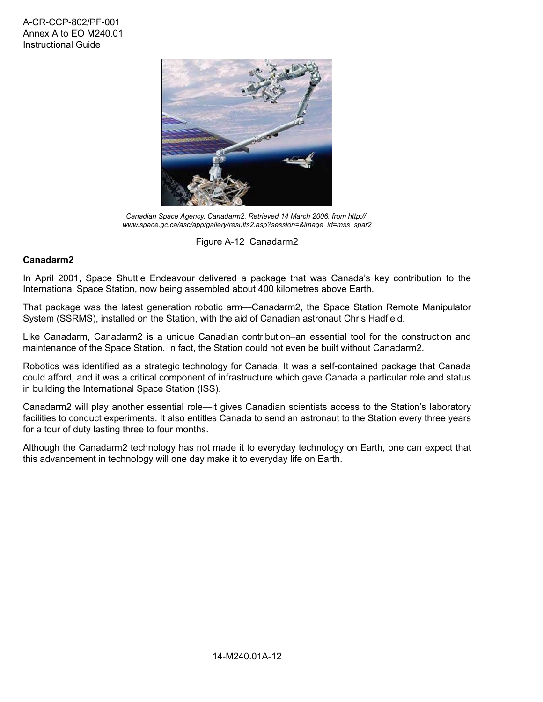

*Canadian Space Agency, Canadarm2. Retrieved 14 March 2006, from http:// www.space.gc.ca/asc/app/gallery/results2.asp?session=&image\_id=mss\_spar2*

Figure A-12 Canadarm2

## **Canadarm2**

In April 2001, Space Shuttle Endeavour delivered a package that was Canada's key contribution to the International Space Station, now being assembled about 400 kilometres above Earth.

That package was the latest generation robotic arm—Canadarm2, the Space Station Remote Manipulator System (SSRMS), installed on the Station, with the aid of Canadian astronaut Chris Hadfield.

Like Canadarm, Canadarm2 is a unique Canadian contribution–an essential tool for the construction and maintenance of the Space Station. In fact, the Station could not even be built without Canadarm2.

Robotics was identified as a strategic technology for Canada. It was a self-contained package that Canada could afford, and it was a critical component of infrastructure which gave Canada a particular role and status in building the International Space Station (ISS).

Canadarm2 will play another essential role—it gives Canadian scientists access to the Station's laboratory facilities to conduct experiments. It also entitles Canada to send an astronaut to the Station every three years for a tour of duty lasting three to four months.

Although the Canadarm2 technology has not made it to everyday technology on Earth, one can expect that this advancement in technology will one day make it to everyday life on Earth.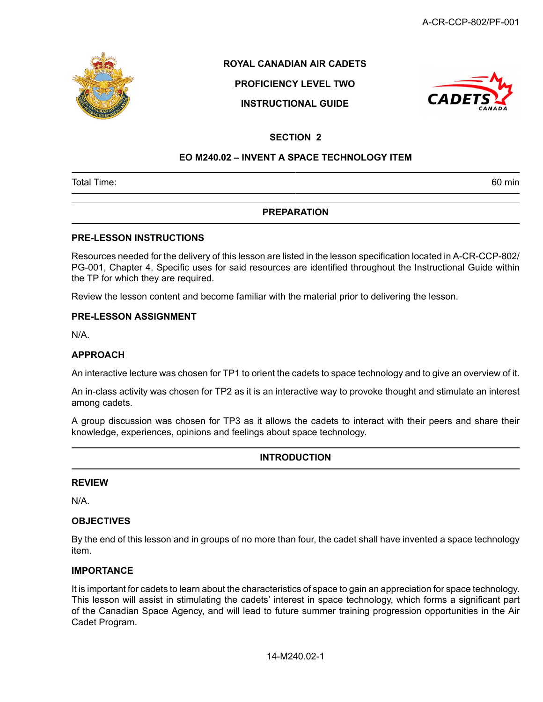

## **ROYAL CANADIAN AIR CADETS**

# **PROFICIENCY LEVEL TWO INSTRUCTIONAL GUIDE**



## **SECTION 2**

### **EO M240.02 – INVENT A SPACE TECHNOLOGY ITEM**

Total Time: 60 min

## **PREPARATION**

#### **PRE-LESSON INSTRUCTIONS**

Resources needed for the delivery of this lesson are listed in the lesson specification located in A-CR-CCP-802/ PG-001, Chapter 4. Specific uses for said resources are identified throughout the Instructional Guide within the TP for which they are required.

Review the lesson content and become familiar with the material prior to delivering the lesson.

#### **PRE-LESSON ASSIGNMENT**

N/A.

#### **APPROACH**

An interactive lecture was chosen for TP1 to orient the cadets to space technology and to give an overview of it.

An in-class activity was chosen for TP2 as it is an interactive way to provoke thought and stimulate an interest among cadets.

A group discussion was chosen for TP3 as it allows the cadets to interact with their peers and share their knowledge, experiences, opinions and feelings about space technology.

## **INTRODUCTION**

### **REVIEW**

N/A.

#### **OBJECTIVES**

By the end of this lesson and in groups of no more than four, the cadet shall have invented a space technology item.

## **IMPORTANCE**

It is important for cadets to learn about the characteristics of space to gain an appreciation for space technology. This lesson will assist in stimulating the cadets' interest in space technology, which forms a significant part of the Canadian Space Agency, and will lead to future summer training progression opportunities in the Air Cadet Program.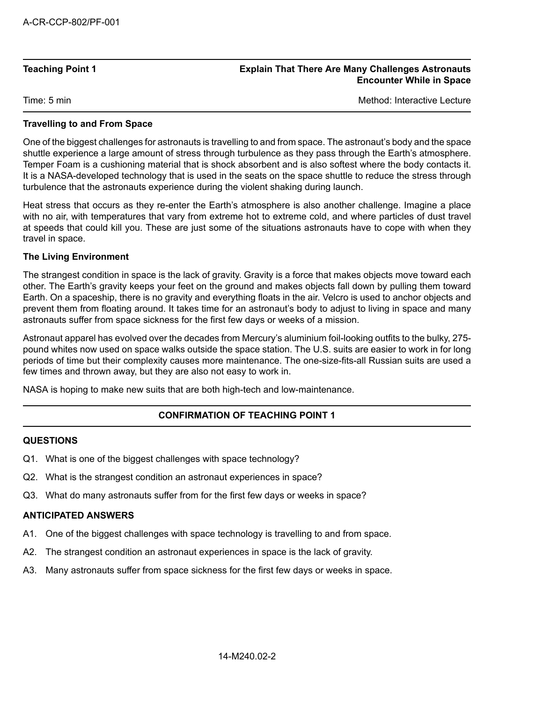|  | <b>Teaching Point 1</b> |  |
|--|-------------------------|--|
|  |                         |  |

## **Explain That There Are Many Challenges Astronauts Encounter While in Space**

Time: 5 min Method: Interactive Lecture Companies of the Method: Interactive Lecture

## **Travelling to and From Space**

One of the biggest challenges for astronauts is travelling to and from space. The astronaut's body and the space shuttle experience a large amount of stress through turbulence as they pass through the Earth's atmosphere. Temper Foam is a cushioning material that is shock absorbent and is also softest where the body contacts it. It is a NASA-developed technology that is used in the seats on the space shuttle to reduce the stress through turbulence that the astronauts experience during the violent shaking during launch.

Heat stress that occurs as they re-enter the Earth's atmosphere is also another challenge. Imagine a place with no air, with temperatures that vary from extreme hot to extreme cold, and where particles of dust travel at speeds that could kill you. These are just some of the situations astronauts have to cope with when they travel in space.

## **The Living Environment**

The strangest condition in space is the lack of gravity. Gravity is a force that makes objects move toward each other. The Earth's gravity keeps your feet on the ground and makes objects fall down by pulling them toward Earth. On a spaceship, there is no gravity and everything floats in the air. Velcro is used to anchor objects and prevent them from floating around. It takes time for an astronaut's body to adjust to living in space and many astronauts suffer from space sickness for the first few days or weeks of a mission.

Astronaut apparel has evolved over the decades from Mercury's aluminium foil-looking outfits to the bulky, 275 pound whites now used on space walks outside the space station. The U.S. suits are easier to work in for long periods of time but their complexity causes more maintenance. The one-size-fits-all Russian suits are used a few times and thrown away, but they are also not easy to work in.

NASA is hoping to make new suits that are both high-tech and low-maintenance.

## **CONFIRMATION OF TEACHING POINT 1**

## **QUESTIONS**

- Q1. What is one of the biggest challenges with space technology?
- Q2. What is the strangest condition an astronaut experiences in space?
- Q3. What do many astronauts suffer from for the first few days or weeks in space?

## **ANTICIPATED ANSWERS**

- A1. One of the biggest challenges with space technology is travelling to and from space.
- A2. The strangest condition an astronaut experiences in space is the lack of gravity.
- A3. Many astronauts suffer from space sickness for the first few days or weeks in space.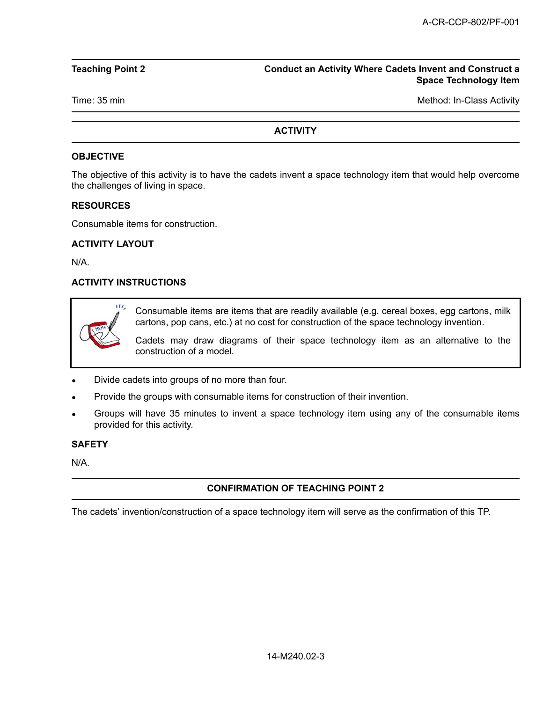## **Teaching Point 2 Conduct an Activity Where Cadets Invent and Construct a Space Technology Item**

Time: 35 min Method: In-Class Activity

## **ACTIVITY**

### **OBJECTIVE**

The objective of this activity is to have the cadets invent a space technology item that would help overcome the challenges of living in space.

#### **RESOURCES**

Consumable items for construction.

## **ACTIVITY LAYOUT**

N/A.

## **ACTIVITY INSTRUCTIONS**



Consumable items are items that are readily available (e.g. cereal boxes, egg cartons, milk cartons, pop cans, etc.) at no cost for construction of the space technology invention.

Cadets may draw diagrams of their space technology item as an alternative to the construction of a model.

- Divide cadets into groups of no more than four.
- Provide the groups with consumable items for construction of their invention.
- Groups will have 35 minutes to invent a space technology item using any of the consumable items provided for this activity.

#### **SAFETY**

N/A.

## **CONFIRMATION OF TEACHING POINT 2**

The cadets' invention/construction of a space technology item will serve as the confirmation of this TP.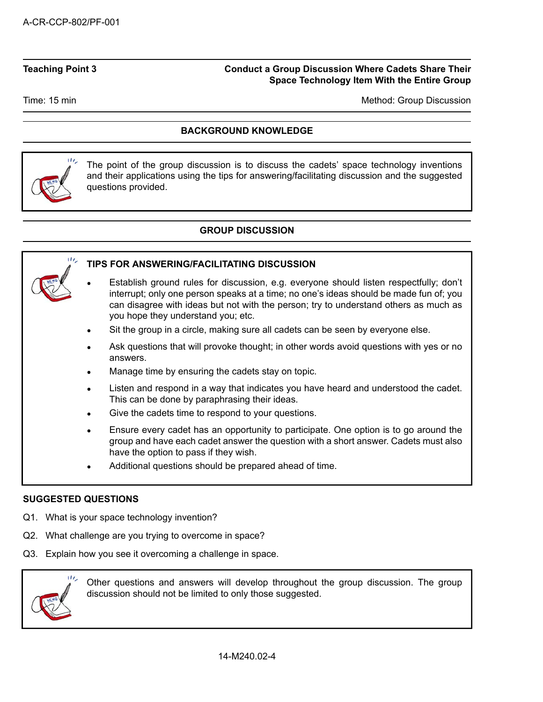## **Teaching Point 3 Conduct a Group Discussion Where Cadets Share Their Space Technology Item With the Entire Group**

Time: 15 min Method: Group Discussion and Method: Group Discussion

## **BACKGROUND KNOWLEDGE**



The point of the group discussion is to discuss the cadets' space technology inventions and their applications using the tips for answering/facilitating discussion and the suggested questions provided.

## **GROUP DISCUSSION**

## **TIPS FOR ANSWERING/FACILITATING DISCUSSION**

- Establish ground rules for discussion, e.g. everyone should listen respectfully; don't interrupt; only one person speaks at a time; no one's ideas should be made fun of; you can disagree with ideas but not with the person; try to understand others as much as you hope they understand you; etc.
- Sit the group in a circle, making sure all cadets can be seen by everyone else.
- Ask questions that will provoke thought; in other words avoid questions with yes or no answers.
- Manage time by ensuring the cadets stay on topic.
- Listen and respond in a way that indicates you have heard and understood the cadet. This can be done by paraphrasing their ideas.
- Give the cadets time to respond to your questions.
- Ensure every cadet has an opportunity to participate. One option is to go around the group and have each cadet answer the question with a short answer. Cadets must also have the option to pass if they wish.
- Additional questions should be prepared ahead of time.

## **SUGGESTED QUESTIONS**

- Q1. What is your space technology invention?
- Q2. What challenge are you trying to overcome in space?
- Q3. Explain how you see it overcoming a challenge in space.



Other questions and answers will develop throughout the group discussion. The group discussion should not be limited to only those suggested.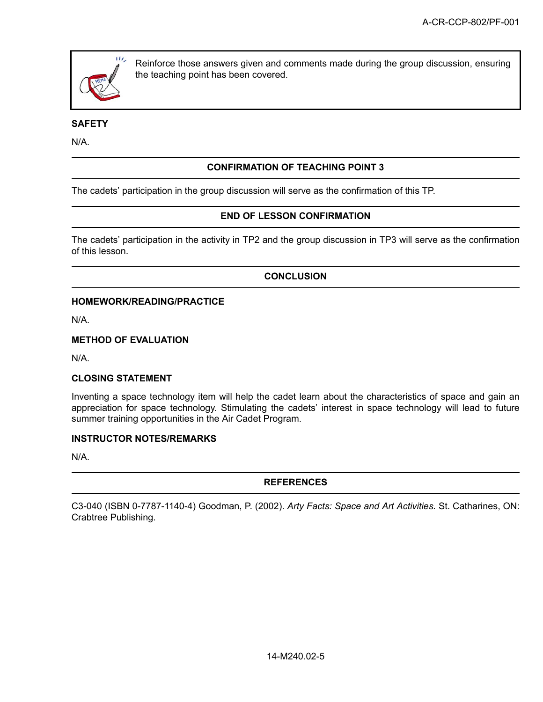

Reinforce those answers given and comments made during the group discussion, ensuring the teaching point has been covered.

## **SAFETY**

N/A.

## **CONFIRMATION OF TEACHING POINT 3**

The cadets' participation in the group discussion will serve as the confirmation of this TP.

## **END OF LESSON CONFIRMATION**

The cadets' participation in the activity in TP2 and the group discussion in TP3 will serve as the confirmation of this lesson.

**CONCLUSION**

## **HOMEWORK/READING/PRACTICE**

N/A.

**METHOD OF EVALUATION**

N/A.

## **CLOSING STATEMENT**

Inventing a space technology item will help the cadet learn about the characteristics of space and gain an appreciation for space technology. Stimulating the cadets' interest in space technology will lead to future summer training opportunities in the Air Cadet Program.

## **INSTRUCTOR NOTES/REMARKS**

N/A.

**REFERENCES**

C3-040 (ISBN 0-7787-1140-4) Goodman, P. (2002). *Arty Facts: Space and Art Activities.* St. Catharines, ON: Crabtree Publishing.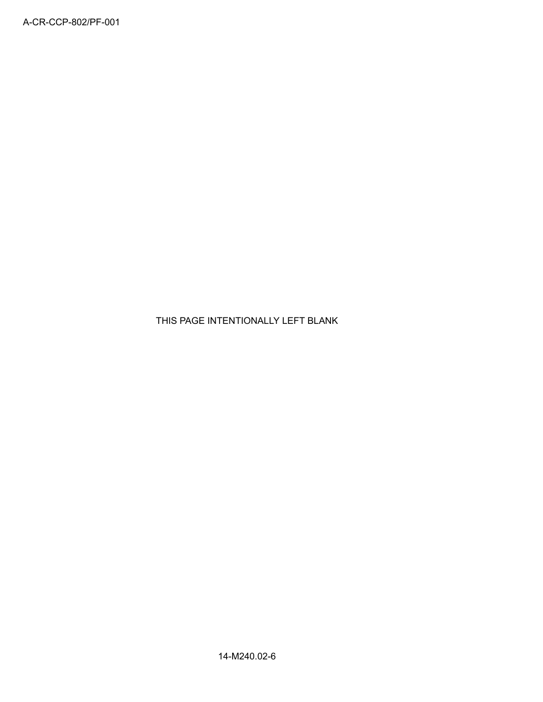THIS PAGE INTENTIONALLY LEFT BLANK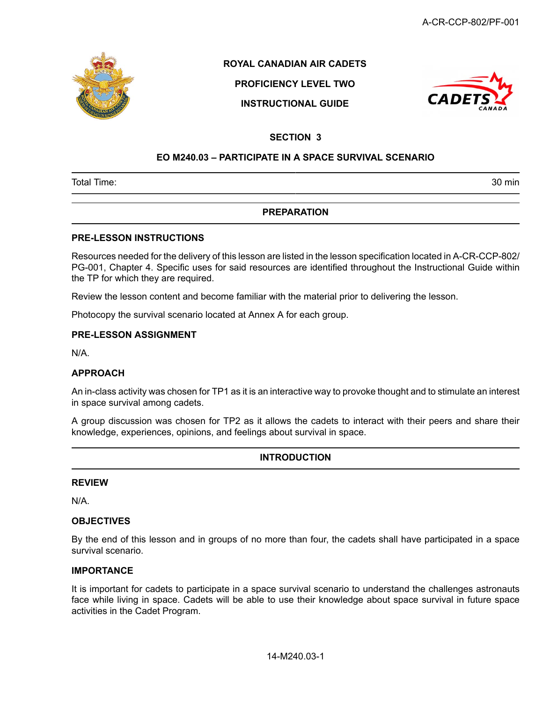

## **ROYAL CANADIAN AIR CADETS**

# **PROFICIENCY LEVEL TWO INSTRUCTIONAL GUIDE**



## **SECTION 3**

### **EO M240.03 – PARTICIPATE IN A SPACE SURVIVAL SCENARIO**

Total Time: 30 min

## **PREPARATION**

#### **PRE-LESSON INSTRUCTIONS**

Resources needed for the delivery of this lesson are listed in the lesson specification located in A-CR-CCP-802/ PG-001, Chapter 4. Specific uses for said resources are identified throughout the Instructional Guide within the TP for which they are required.

Review the lesson content and become familiar with the material prior to delivering the lesson.

Photocopy the survival scenario located at Annex A for each group.

#### **PRE-LESSON ASSIGNMENT**

N/A.

## **APPROACH**

An in-class activity was chosen for TP1 as it is an interactive way to provoke thought and to stimulate an interest in space survival among cadets.

A group discussion was chosen for TP2 as it allows the cadets to interact with their peers and share their knowledge, experiences, opinions, and feelings about survival in space.

## **INTRODUCTION**

### **REVIEW**

N/A.

## **OBJECTIVES**

By the end of this lesson and in groups of no more than four, the cadets shall have participated in a space survival scenario.

## **IMPORTANCE**

It is important for cadets to participate in a space survival scenario to understand the challenges astronauts face while living in space. Cadets will be able to use their knowledge about space survival in future space activities in the Cadet Program.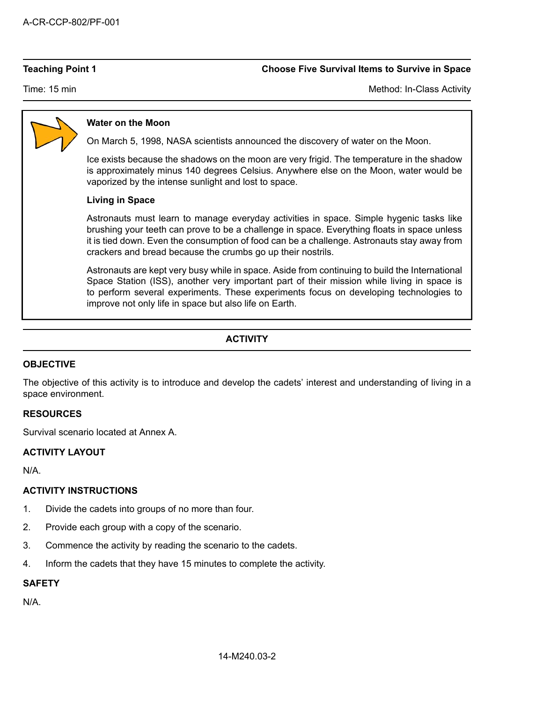**Teaching Point 1 Choose Five Survival Items to Survive in Space**

Time: 15 min Method: In-Class Activity



## **Water on the Moon**

On March 5, 1998, NASA scientists announced the discovery of water on the Moon.

Ice exists because the shadows on the moon are very frigid. The temperature in the shadow is approximately minus 140 degrees Celsius. Anywhere else on the Moon, water would be vaporized by the intense sunlight and lost to space.

### **Living in Space**

Astronauts must learn to manage everyday activities in space. Simple hygenic tasks like brushing your teeth can prove to be a challenge in space. Everything floats in space unless it is tied down. Even the consumption of food can be a challenge. Astronauts stay away from crackers and bread because the crumbs go up their nostrils.

Astronauts are kept very busy while in space. Aside from continuing to build the International Space Station (ISS), another very important part of their mission while living in space is to perform several experiments. These experiments focus on developing technologies to improve not only life in space but also life on Earth.

## **ACTIVITY**

## **OBJECTIVE**

The objective of this activity is to introduce and develop the cadets' interest and understanding of living in a space environment.

## **RESOURCES**

Survival scenario located at Annex A.

#### **ACTIVITY LAYOUT**

N/A.

## **ACTIVITY INSTRUCTIONS**

- 1. Divide the cadets into groups of no more than four.
- 2. Provide each group with a copy of the scenario.
- 3. Commence the activity by reading the scenario to the cadets.
- 4. Inform the cadets that they have 15 minutes to complete the activity.

#### **SAFETY**

N/A.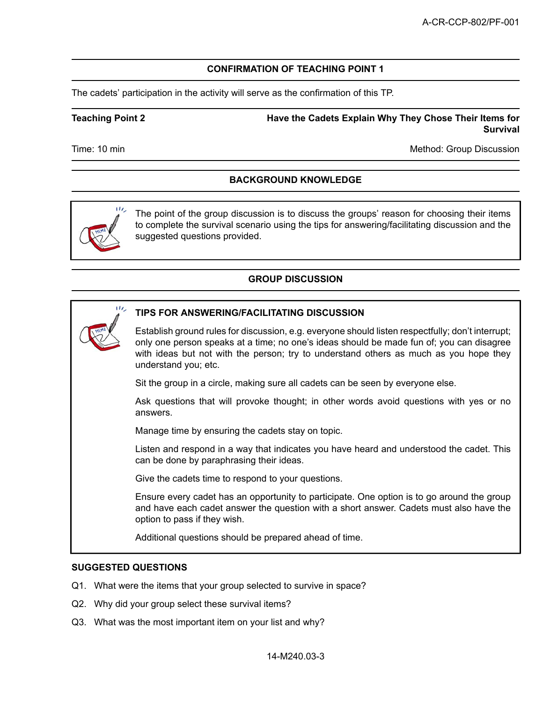## **CONFIRMATION OF TEACHING POINT 1**

The cadets' participation in the activity will serve as the confirmation of this TP.

**Teaching Point 2 Have the Cadets Explain Why They Chose Their Items for Survival**

Time: 10 min Method: Group Discussion Nethod: Group Discussion

## **BACKGROUND KNOWLEDGE**

u, The point of the group discussion is to discuss the groups' reason for choosing their items to complete the survival scenario using the tips for answering/facilitating discussion and the suggested questions provided.

## **GROUP DISCUSSION**



## **TIPS FOR ANSWERING/FACILITATING DISCUSSION**

Establish ground rules for discussion, e.g. everyone should listen respectfully; don't interrupt; only one person speaks at a time; no one's ideas should be made fun of; you can disagree with ideas but not with the person; try to understand others as much as you hope they understand you; etc.

Sit the group in a circle, making sure all cadets can be seen by everyone else.

Ask questions that will provoke thought; in other words avoid questions with yes or no answers.

Manage time by ensuring the cadets stay on topic.

Listen and respond in a way that indicates you have heard and understood the cadet. This can be done by paraphrasing their ideas.

Give the cadets time to respond to your questions.

Ensure every cadet has an opportunity to participate. One option is to go around the group and have each cadet answer the question with a short answer. Cadets must also have the option to pass if they wish.

Additional questions should be prepared ahead of time.

## **SUGGESTED QUESTIONS**

- Q1. What were the items that your group selected to survive in space?
- Q2. Why did your group select these survival items?
- Q3. What was the most important item on your list and why?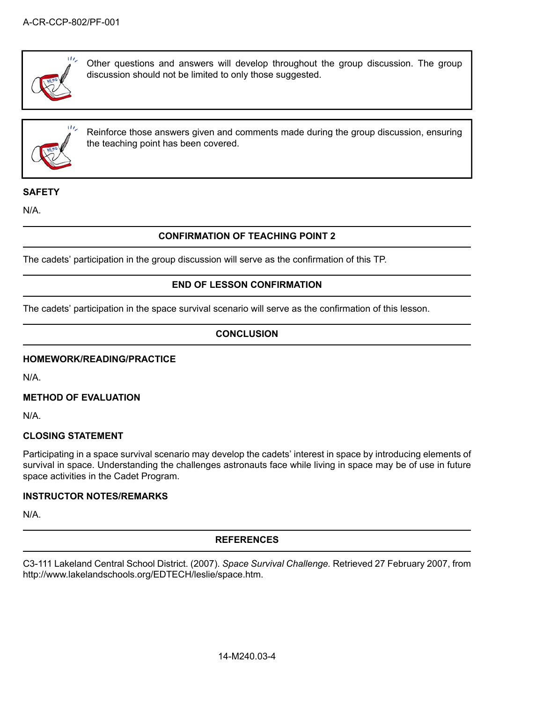

Other questions and answers will develop throughout the group discussion. The group discussion should not be limited to only those suggested.



Reinforce those answers given and comments made during the group discussion, ensuring the teaching point has been covered.

## **SAFETY**

N/A.

## **CONFIRMATION OF TEACHING POINT 2**

The cadets' participation in the group discussion will serve as the confirmation of this TP.

## **END OF LESSON CONFIRMATION**

The cadets' participation in the space survival scenario will serve as the confirmation of this lesson.

## **CONCLUSION**

## **HOMEWORK/READING/PRACTICE**

N/A.

## **METHOD OF EVALUATION**

N/A.

## **CLOSING STATEMENT**

Participating in a space survival scenario may develop the cadets' interest in space by introducing elements of survival in space. Understanding the challenges astronauts face while living in space may be of use in future space activities in the Cadet Program.

## **INSTRUCTOR NOTES/REMARKS**

N/A.

## **REFERENCES**

C3-111 Lakeland Central School District. (2007). *Space Survival Challenge.* Retrieved 27 February 2007, from http://www.lakelandschools.org/EDTECH/leslie/space.htm.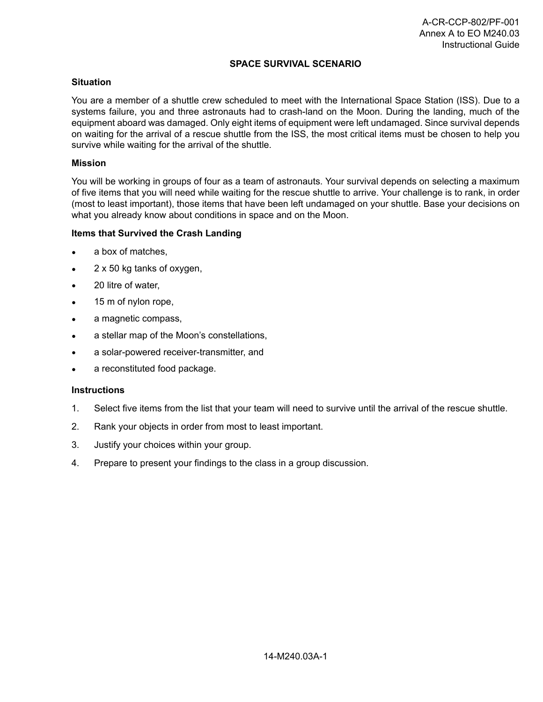#### **SPACE SURVIVAL SCENARIO**

#### **Situation**

You are a member of a shuttle crew scheduled to meet with the International Space Station (ISS). Due to a systems failure, you and three astronauts had to crash-land on the Moon. During the landing, much of the equipment aboard was damaged. Only eight items of equipment were left undamaged. Since survival depends on waiting for the arrival of a rescue shuttle from the ISS, the most critical items must be chosen to help you survive while waiting for the arrival of the shuttle.

#### **Mission**

You will be working in groups of four as a team of astronauts. Your survival depends on selecting a maximum of five items that you will need while waiting for the rescue shuttle to arrive. Your challenge is to rank, in order (most to least important), those items that have been left undamaged on your shuttle. Base your decisions on what you already know about conditions in space and on the Moon.

### **Items that Survived the Crash Landing**

- a box of matches
- 2 x 50 kg tanks of oxygen,
- 20 litre of water,
- 15 m of nylon rope,
- a magnetic compass,
- a stellar map of the Moon's constellations,
- a solar-powered receiver-transmitter, and
- a reconstituted food package.

#### **Instructions**

- 1. Select five items from the list that your team will need to survive until the arrival of the rescue shuttle.
- 2. Rank your objects in order from most to least important.
- 3. Justify your choices within your group.
- 4. Prepare to present your findings to the class in a group discussion.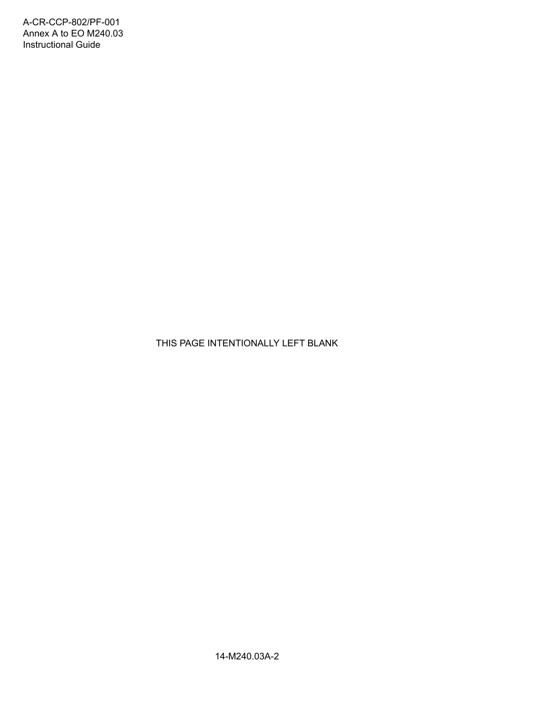THIS PAGE INTENTIONALLY LEFT BLANK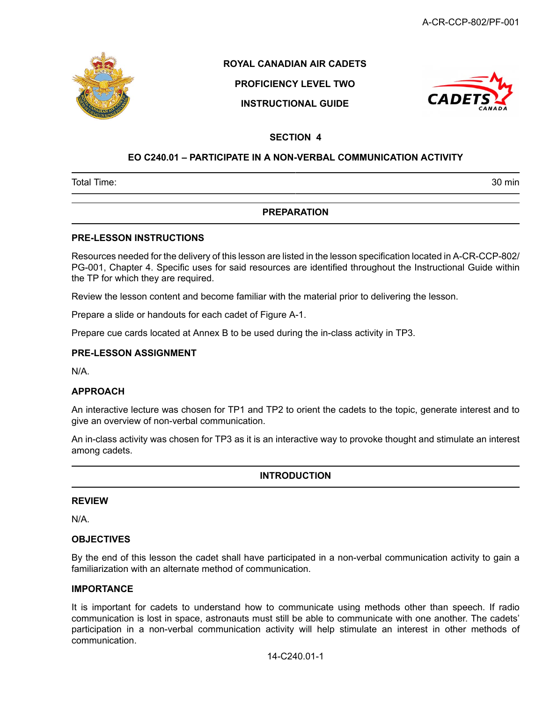

## **ROYAL CANADIAN AIR CADETS**

# **PROFICIENCY LEVEL TWO INSTRUCTIONAL GUIDE**



## **SECTION 4**

## **EO C240.01 – PARTICIPATE IN A NON-VERBAL COMMUNICATION ACTIVITY**

Total Time: 30 min

## **PREPARATION**

#### **PRE-LESSON INSTRUCTIONS**

Resources needed for the delivery of this lesson are listed in the lesson specification located in A-CR-CCP-802/ PG-001, Chapter 4. Specific uses for said resources are identified throughout the Instructional Guide within the TP for which they are required.

Review the lesson content and become familiar with the material prior to delivering the lesson.

Prepare a slide or handouts for each cadet of Figure A-1.

Prepare cue cards located at Annex B to be used during the in-class activity in TP3.

## **PRE-LESSON ASSIGNMENT**

N/A.

## **APPROACH**

An interactive lecture was chosen for TP1 and TP2 to orient the cadets to the topic, generate interest and to give an overview of non-verbal communication.

An in-class activity was chosen for TP3 as it is an interactive way to provoke thought and stimulate an interest among cadets.

## **INTRODUCTION**

#### **REVIEW**

N/A.

## **OBJECTIVES**

By the end of this lesson the cadet shall have participated in a non-verbal communication activity to gain a familiarization with an alternate method of communication.

#### **IMPORTANCE**

It is important for cadets to understand how to communicate using methods other than speech. If radio communication is lost in space, astronauts must still be able to communicate with one another. The cadets' participation in a non-verbal communication activity will help stimulate an interest in other methods of communication.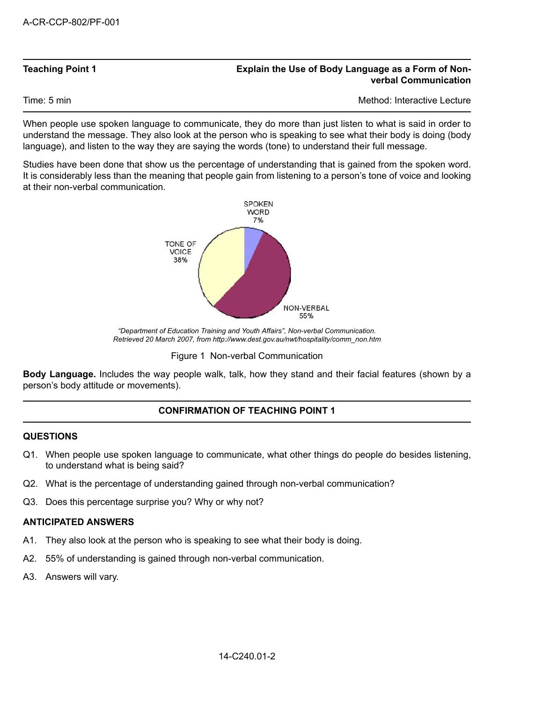## **Teaching Point 1 Explain the Use of Body Language as a Form of Nonverbal Communication**

Time: 5 min Method: Interactive Lecture

When people use spoken language to communicate, they do more than just listen to what is said in order to understand the message. They also look at the person who is speaking to see what their body is doing (body language), and listen to the way they are saying the words (tone) to understand their full message.

Studies have been done that show us the percentage of understanding that is gained from the spoken word. It is considerably less than the meaning that people gain from listening to a person's tone of voice and looking at their non-verbal communication.



*"Department of Education Training and Youth Affairs", Non-verbal Communication. Retrieved 20 March 2007, from http://www.dest.gov.au/nwt/hospitality/comm\_non.htm*



**Body Language.** Includes the way people walk, talk, how they stand and their facial features (shown by a person's body attitude or movements).

## **CONFIRMATION OF TEACHING POINT 1**

## **QUESTIONS**

- Q1. When people use spoken language to communicate, what other things do people do besides listening, to understand what is being said?
- Q2. What is the percentage of understanding gained through non-verbal communication?
- Q3. Does this percentage surprise you? Why or why not?

## **ANTICIPATED ANSWERS**

- A1. They also look at the person who is speaking to see what their body is doing.
- A2. 55% of understanding is gained through non-verbal communication.
- A3. Answers will vary.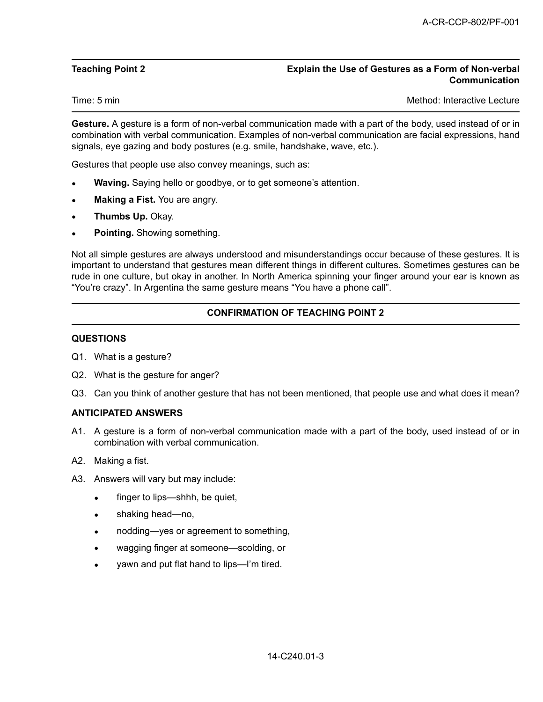#### **Teaching Point 2 Explain the Use of Gestures as a Form of Non-verbal Communication**

Time: 5 min Method: Interactive Lecture Control of Time: 5 min Method: Interactive Lecture

**Gesture.** A gesture is a form of non-verbal communication made with a part of the body, used instead of or in combination with verbal communication. Examples of non-verbal communication are facial expressions, hand signals, eye gazing and body postures (e.g. smile, handshake, wave, etc.).

Gestures that people use also convey meanings, such as:

- **Waving.** Saying hello or goodbye, or to get someone's attention.
- **Making a Fist.** You are angry.
- **Thumbs Up.** Okay.
- **Pointing.** Showing something.

Not all simple gestures are always understood and misunderstandings occur because of these gestures. It is important to understand that gestures mean different things in different cultures. Sometimes gestures can be rude in one culture, but okay in another. In North America spinning your finger around your ear is known as "You're crazy". In Argentina the same gesture means "You have a phone call".

## **CONFIRMATION OF TEACHING POINT 2**

## **QUESTIONS**

- Q1. What is a gesture?
- Q2. What is the gesture for anger?
- Q3. Can you think of another gesture that has not been mentioned, that people use and what does it mean?

#### **ANTICIPATED ANSWERS**

- A1. A gesture is a form of non-verbal communication made with a part of the body, used instead of or in combination with verbal communication.
- A2. Making a fist.
- A3. Answers will vary but may include:
	- finger to lips—shhh, be quiet,
	- shaking head—no,
	- nodding—yes or agreement to something,
	- wagging finger at someone—scolding, or
	- yawn and put flat hand to lips—I'm tired.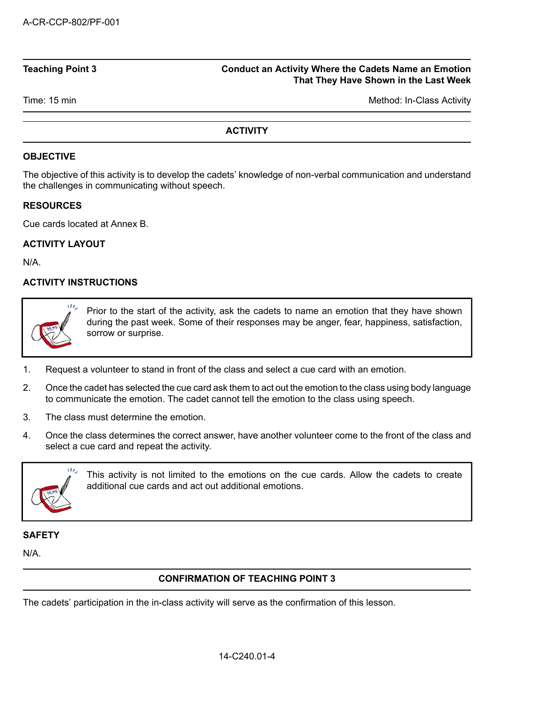## **Teaching Point 3 Conduct an Activity Where the Cadets Name an Emotion That They Have Shown in the Last Week**

Time: 15 min Method: In-Class Activity

## **ACTIVITY**

### **OBJECTIVE**

The objective of this activity is to develop the cadets' knowledge of non-verbal communication and understand the challenges in communicating without speech.

#### **RESOURCES**

Cue cards located at Annex B.

## **ACTIVITY LAYOUT**

N/A.

## **ACTIVITY INSTRUCTIONS**



Prior to the start of the activity, ask the cadets to name an emotion that they have shown during the past week. Some of their responses may be anger, fear, happiness, satisfaction, sorrow or surprise.

- 1. Request a volunteer to stand in front of the class and select a cue card with an emotion.
- 2. Once the cadet has selected the cue card ask them to act out the emotion to the class using body language to communicate the emotion. The cadet cannot tell the emotion to the class using speech.
- 3. The class must determine the emotion.
- 4. Once the class determines the correct answer, have another volunteer come to the front of the class and select a cue card and repeat the activity.



This activity is not limited to the emotions on the cue cards. Allow the cadets to create additional cue cards and act out additional emotions.

## **SAFETY**

N/A.

## **CONFIRMATION OF TEACHING POINT 3**

The cadets' participation in the in-class activity will serve as the confirmation of this lesson.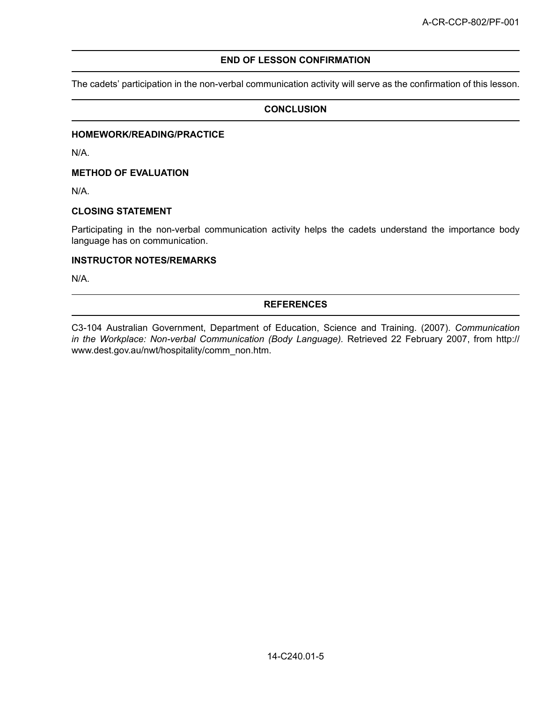## **END OF LESSON CONFIRMATION**

The cadets' participation in the non-verbal communication activity will serve as the confirmation of this lesson.

## **CONCLUSION**

#### **HOMEWORK/READING/PRACTICE**

N/A.

**METHOD OF EVALUATION**

N/A.

### **CLOSING STATEMENT**

Participating in the non-verbal communication activity helps the cadets understand the importance body language has on communication.

#### **INSTRUCTOR NOTES/REMARKS**

N/A.

## **REFERENCES**

C3-104 Australian Government, Department of Education, Science and Training. (2007). *Communication in the Workplace: Non-verbal Communication (Body Language).* Retrieved 22 February 2007, from http:// www.dest.gov.au/nwt/hospitality/comm\_non.htm.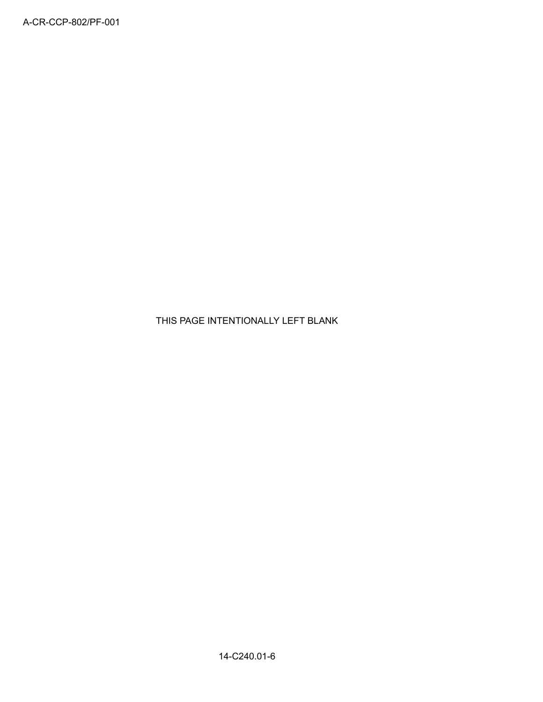THIS PAGE INTENTIONALLY LEFT BLANK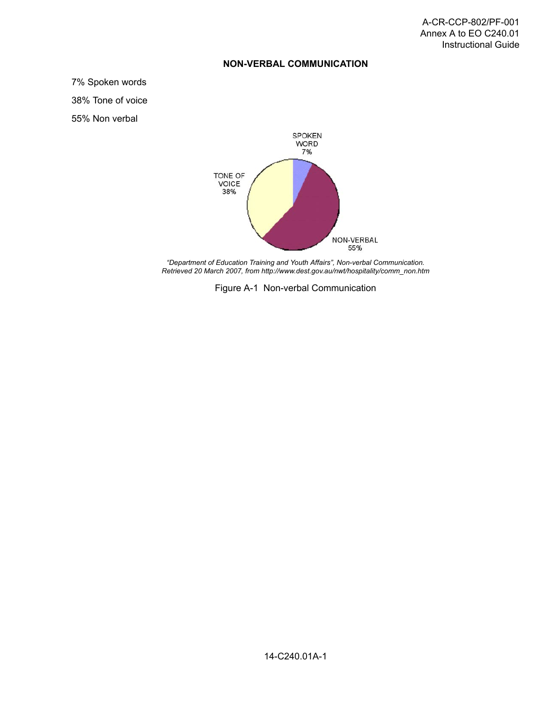#### **NON-VERBAL COMMUNICATION**

7% Spoken words

38% Tone of voice

55% Non verbal



*"Department of Education Training and Youth Affairs", Non-verbal Communication. Retrieved 20 March 2007, from http://www.dest.gov.au/nwt/hospitality/comm\_non.htm*

Figure A-1 Non-verbal Communication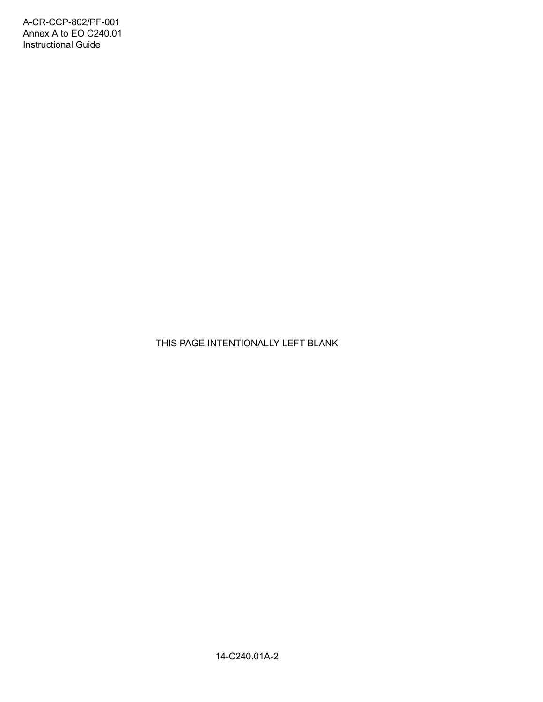THIS PAGE INTENTIONALLY LEFT BLANK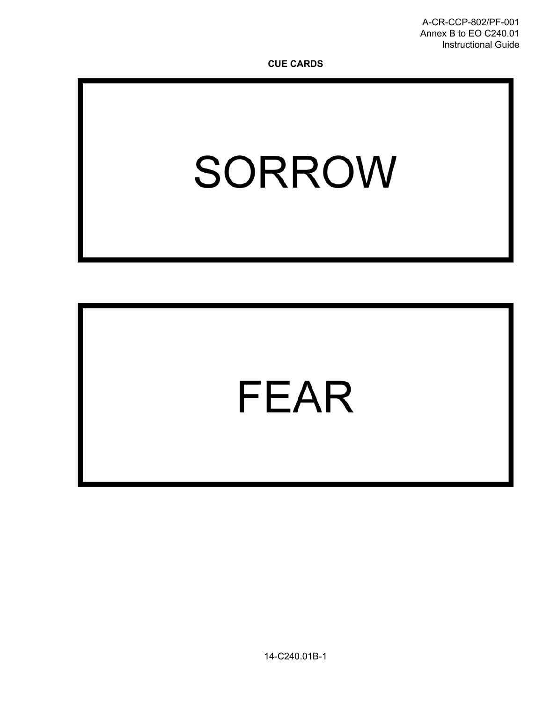**CUE CARDS**

# SORROW



14-C240.01B-1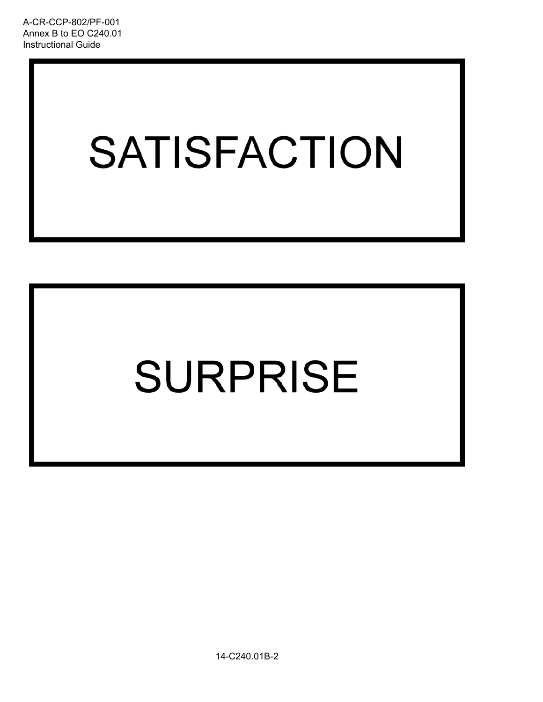# **SATISFACTION**

# **SURPRISE**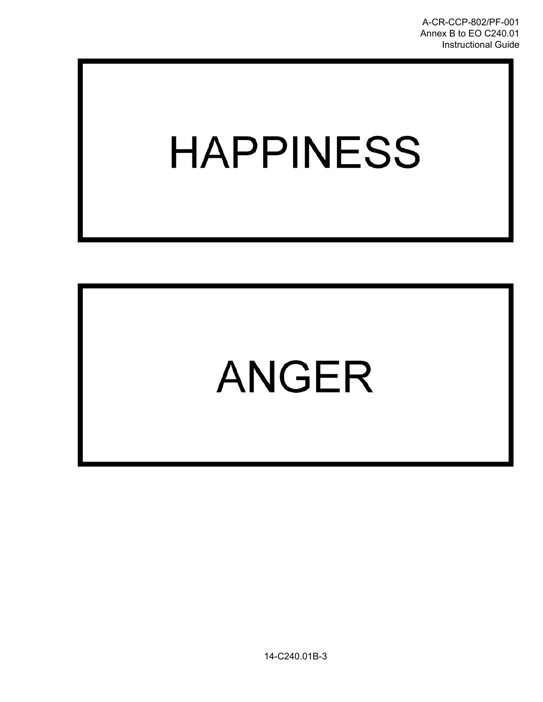# **HAPPINESS**

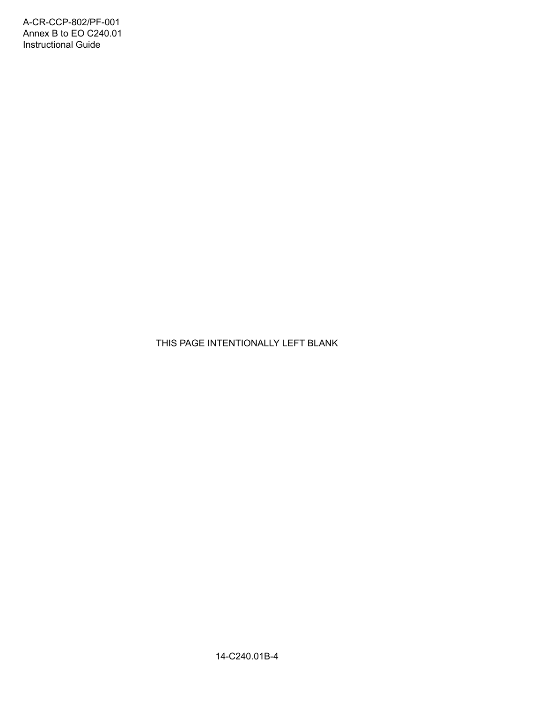THIS PAGE INTENTIONALLY LEFT BLANK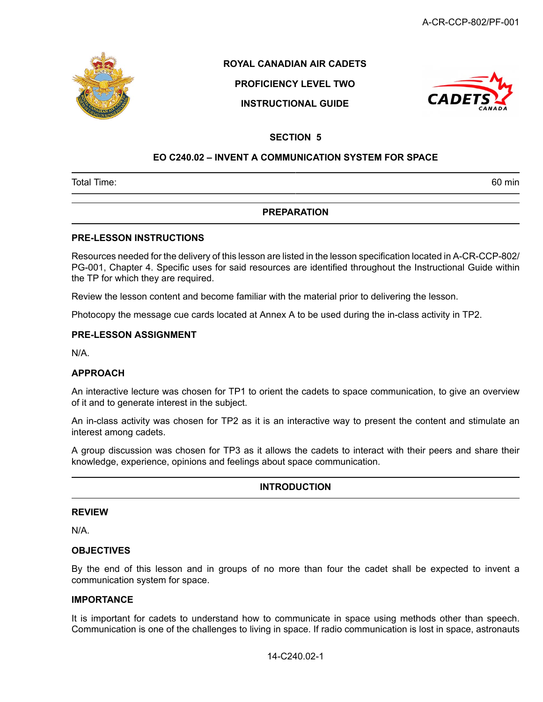

#### **ROYAL CANADIAN AIR CADETS**

## **PROFICIENCY LEVEL TWO**



### **INSTRUCTIONAL GUIDE**

#### **SECTION 5**

#### **EO C240.02 – INVENT A COMMUNICATION SYSTEM FOR SPACE**

Total Time: 60 min

#### **PREPARATION**

#### **PRE-LESSON INSTRUCTIONS**

Resources needed for the delivery of this lesson are listed in the lesson specification located in A-CR-CCP-802/ PG-001, Chapter 4. Specific uses for said resources are identified throughout the Instructional Guide within the TP for which they are required.

Review the lesson content and become familiar with the material prior to delivering the lesson.

Photocopy the message cue cards located at Annex A to be used during the in-class activity in TP2.

#### **PRE-LESSON ASSIGNMENT**

N/A.

#### **APPROACH**

An interactive lecture was chosen for TP1 to orient the cadets to space communication, to give an overview of it and to generate interest in the subject.

An in-class activity was chosen for TP2 as it is an interactive way to present the content and stimulate an interest among cadets.

A group discussion was chosen for TP3 as it allows the cadets to interact with their peers and share their knowledge, experience, opinions and feelings about space communication.

#### **INTRODUCTION**

#### **REVIEW**

N/A.

#### **OBJECTIVES**

By the end of this lesson and in groups of no more than four the cadet shall be expected to invent a communication system for space.

#### **IMPORTANCE**

It is important for cadets to understand how to communicate in space using methods other than speech. Communication is one of the challenges to living in space. If radio communication is lost in space, astronauts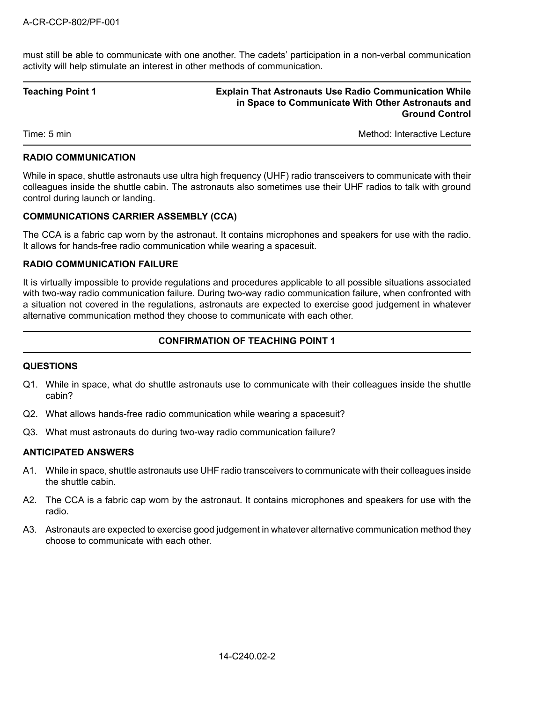must still be able to communicate with one another. The cadets' participation in a non-verbal communication activity will help stimulate an interest in other methods of communication.

#### **Teaching Point 1 Explain That Astronauts Use Radio Communication While in Space to Communicate With Other Astronauts and Ground Control**

Time: 5 min Method: Interactive Lecture

#### **RADIO COMMUNICATION**

While in space, shuttle astronauts use ultra high frequency (UHF) radio transceivers to communicate with their colleagues inside the shuttle cabin. The astronauts also sometimes use their UHF radios to talk with ground control during launch or landing.

#### **COMMUNICATIONS CARRIER ASSEMBLY (CCA)**

The CCA is a fabric cap worn by the astronaut. It contains microphones and speakers for use with the radio. It allows for hands-free radio communication while wearing a spacesuit.

#### **RADIO COMMUNICATION FAILURE**

It is virtually impossible to provide regulations and procedures applicable to all possible situations associated with two-way radio communication failure. During two-way radio communication failure, when confronted with a situation not covered in the regulations, astronauts are expected to exercise good judgement in whatever alternative communication method they choose to communicate with each other.

#### **CONFIRMATION OF TEACHING POINT 1**

#### **QUESTIONS**

- Q1. While in space, what do shuttle astronauts use to communicate with their colleagues inside the shuttle cabin?
- Q2. What allows hands-free radio communication while wearing a spacesuit?
- Q3. What must astronauts do during two-way radio communication failure?

#### **ANTICIPATED ANSWERS**

- A1. While in space, shuttle astronauts use UHF radio transceivers to communicate with their colleagues inside the shuttle cabin.
- A2. The CCA is a fabric cap worn by the astronaut. It contains microphones and speakers for use with the radio.
- A3. Astronauts are expected to exercise good judgement in whatever alternative communication method they choose to communicate with each other.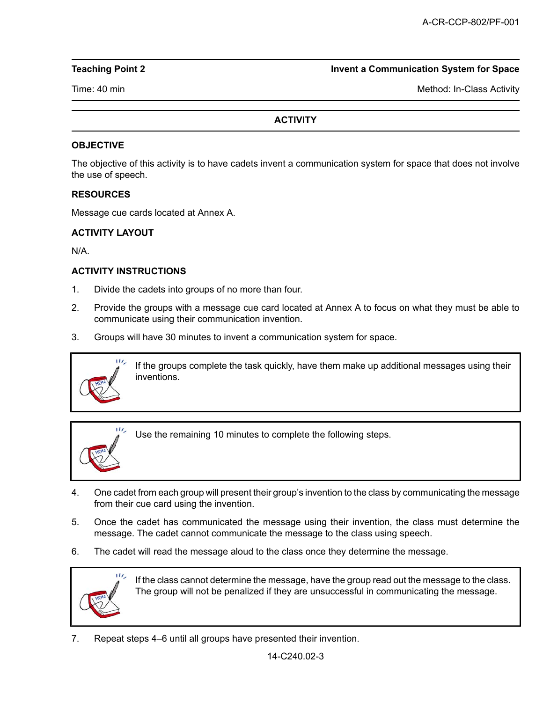#### **Teaching Point 2 Invent a Communication System for Space**

Time: 40 min Method: In-Class Activity

#### **ACTIVITY**

#### **OBJECTIVE**

The objective of this activity is to have cadets invent a communication system for space that does not involve the use of speech.

#### **RESOURCES**

Message cue cards located at Annex A.

#### **ACTIVITY LAYOUT**

N/A.

#### **ACTIVITY INSTRUCTIONS**

- 1. Divide the cadets into groups of no more than four.
- 2. Provide the groups with a message cue card located at Annex A to focus on what they must be able to communicate using their communication invention.
- 3. Groups will have 30 minutes to invent a communication system for space.



If the groups complete the task quickly, have them make up additional messages using their inventions.



Use the remaining 10 minutes to complete the following steps.

- 4. One cadet from each group will present their group's invention to the class by communicating the message from their cue card using the invention.
- 5. Once the cadet has communicated the message using their invention, the class must determine the message. The cadet cannot communicate the message to the class using speech.
- 6. The cadet will read the message aloud to the class once they determine the message.



If the class cannot determine the message, have the group read out the message to the class. The group will not be penalized if they are unsuccessful in communicating the message.

7. Repeat steps 4–6 until all groups have presented their invention.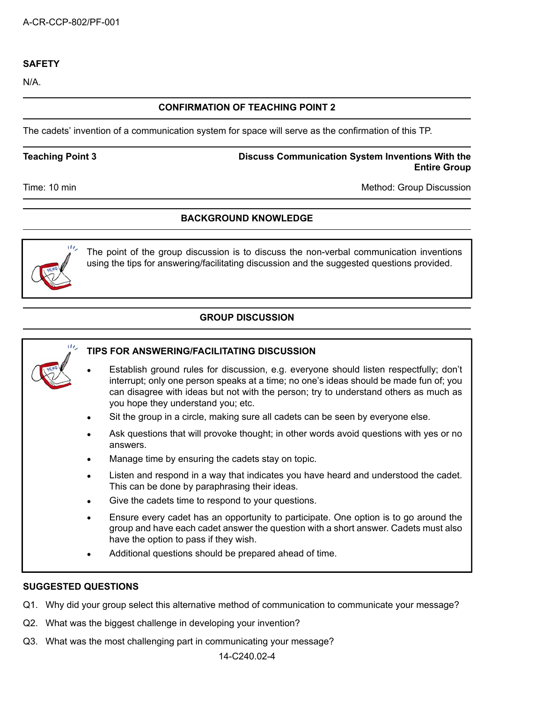#### **SAFETY**

N/A.

#### **CONFIRMATION OF TEACHING POINT 2**

The cadets' invention of a communication system for space will serve as the confirmation of this TP.

#### **Teaching Point 3 Discuss Communication System Inventions With the Entire Group**

Time: 10 min Method: Group Discussion Method: Group Discussion

#### **BACKGROUND KNOWLEDGE**



The point of the group discussion is to discuss the non-verbal communication inventions using the tips for answering/facilitating discussion and the suggested questions provided.

#### **GROUP DISCUSSION**



#### **TIPS FOR ANSWERING/FACILITATING DISCUSSION**

- Establish ground rules for discussion, e.g. everyone should listen respectfully; don't interrupt; only one person speaks at a time; no one's ideas should be made fun of; you can disagree with ideas but not with the person; try to understand others as much as you hope they understand you; etc.
- Sit the group in a circle, making sure all cadets can be seen by everyone else.
- Ask questions that will provoke thought; in other words avoid questions with yes or no answers.
- Manage time by ensuring the cadets stay on topic.
- Listen and respond in a way that indicates you have heard and understood the cadet. This can be done by paraphrasing their ideas.
- Give the cadets time to respond to your questions.
- Ensure every cadet has an opportunity to participate. One option is to go around the group and have each cadet answer the question with a short answer. Cadets must also have the option to pass if they wish.
- Additional questions should be prepared ahead of time.

#### **SUGGESTED QUESTIONS**

- Q1. Why did your group select this alternative method of communication to communicate your message?
- Q2. What was the biggest challenge in developing your invention?
- Q3. What was the most challenging part in communicating your message?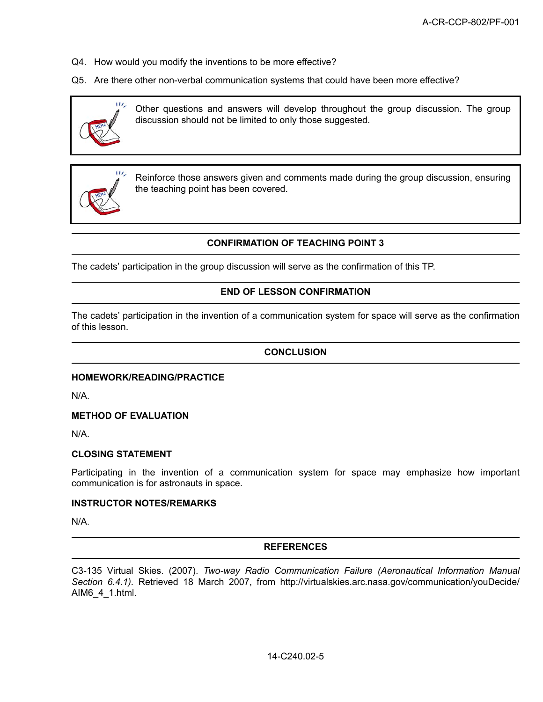- Q4. How would you modify the inventions to be more effective?
- Q5. Are there other non-verbal communication systems that could have been more effective?



Other questions and answers will develop throughout the group discussion. The group discussion should not be limited to only those suggested.



Reinforce those answers given and comments made during the group discussion, ensuring the teaching point has been covered.

#### **CONFIRMATION OF TEACHING POINT 3**

The cadets' participation in the group discussion will serve as the confirmation of this TP.

#### **END OF LESSON CONFIRMATION**

The cadets' participation in the invention of a communication system for space will serve as the confirmation of this lesson.

#### **CONCLUSION**

#### **HOMEWORK/READING/PRACTICE**

N/A.

#### **METHOD OF EVALUATION**

N/A.

#### **CLOSING STATEMENT**

Participating in the invention of a communication system for space may emphasize how important communication is for astronauts in space.

#### **INSTRUCTOR NOTES/REMARKS**

N/A.

#### **REFERENCES**

C3-135 Virtual Skies. (2007). *Two-way Radio Communication Failure (Aeronautical Information Manual Section 6.4.1).* Retrieved 18 March 2007, from http://virtualskies.arc.nasa.gov/communication/youDecide/ AIM6\_4\_1.html.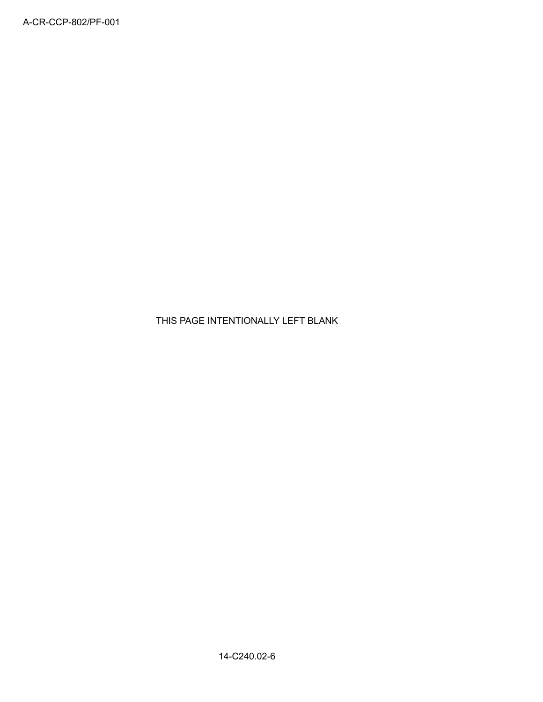THIS PAGE INTENTIONALLY LEFT BLANK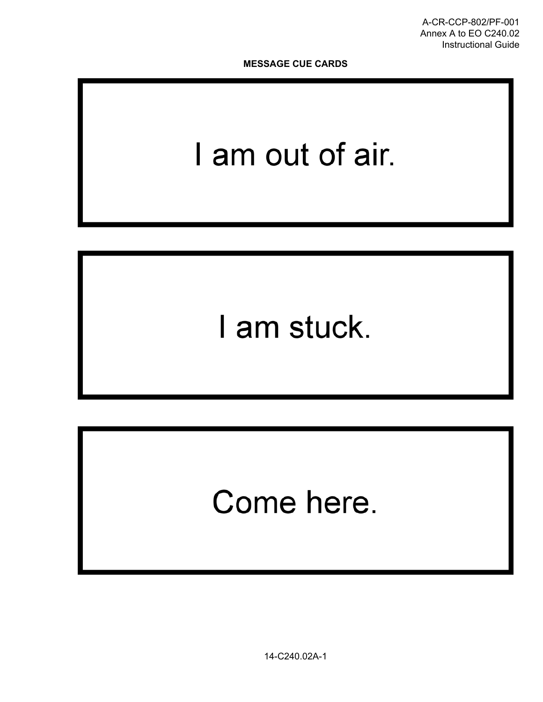**MESSAGE CUE CARDS**

I am out of air.

## I am stuck.

## Come here.

14-C240.02A-1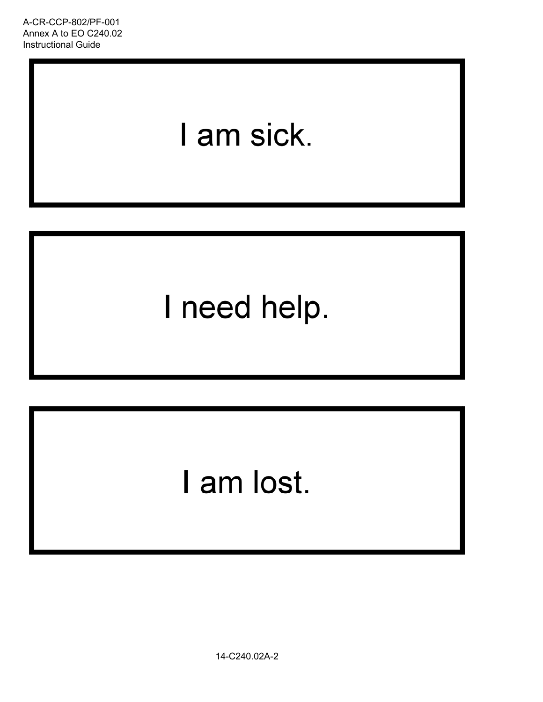## I am sick.

# I need help.

## I am lost.

14-C240.02A-2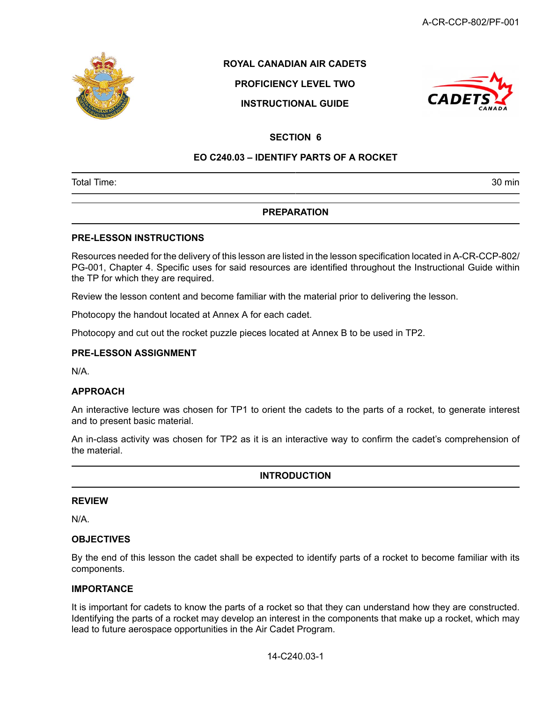

#### **ROYAL CANADIAN AIR CADETS**

### **PROFICIENCY LEVEL TWO**

#### **INSTRUCTIONAL GUIDE**



#### **SECTION 6**

#### **EO C240.03 – IDENTIFY PARTS OF A ROCKET**

Total Time: 30 min

#### **PREPARATION**

#### **PRE-LESSON INSTRUCTIONS**

Resources needed for the delivery of this lesson are listed in the lesson specification located in A-CR-CCP-802/ PG-001, Chapter 4. Specific uses for said resources are identified throughout the Instructional Guide within the TP for which they are required.

Review the lesson content and become familiar with the material prior to delivering the lesson.

Photocopy the handout located at Annex A for each cadet.

Photocopy and cut out the rocket puzzle pieces located at Annex B to be used in TP2.

#### **PRE-LESSON ASSIGNMENT**

N/A.

#### **APPROACH**

An interactive lecture was chosen for TP1 to orient the cadets to the parts of a rocket, to generate interest and to present basic material.

An in-class activity was chosen for TP2 as it is an interactive way to confirm the cadet's comprehension of the material.

#### **INTRODUCTION**

#### **REVIEW**

N/A.

#### **OBJECTIVES**

By the end of this lesson the cadet shall be expected to identify parts of a rocket to become familiar with its components.

#### **IMPORTANCE**

It is important for cadets to know the parts of a rocket so that they can understand how they are constructed. Identifying the parts of a rocket may develop an interest in the components that make up a rocket, which may lead to future aerospace opportunities in the Air Cadet Program.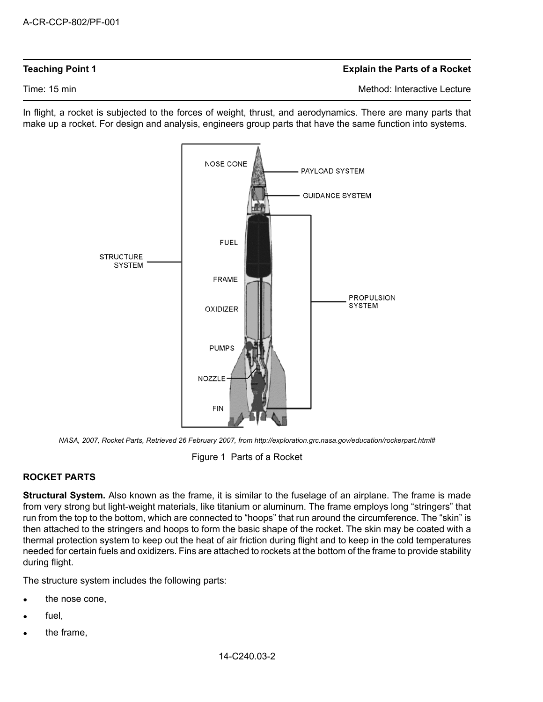#### **Teaching Point 1 Explain the Parts of a Rocket**

Time: 15 min Method: Interactive Lecture Companies And Method: Interactive Lecture

In flight, a rocket is subjected to the forces of weight, thrust, and aerodynamics. There are many parts that make up a rocket. For design and analysis, engineers group parts that have the same function into systems.



*NASA, 2007, Rocket Parts, Retrieved 26 February 2007, from http://exploration.grc.nasa.gov/education/rockerpart.html#*

Figure 1 Parts of a Rocket

#### **ROCKET PARTS**

**Structural System.** Also known as the frame, it is similar to the fuselage of an airplane. The frame is made from very strong but light-weight materials, like titanium or aluminum. The frame employs long "stringers" that run from the top to the bottom, which are connected to "hoops" that run around the circumference. The "skin" is then attached to the stringers and hoops to form the basic shape of the rocket. The skin may be coated with a thermal protection system to keep out the heat of air friction during flight and to keep in the cold temperatures needed for certain fuels and oxidizers. Fins are attached to rockets at the bottom of the frame to provide stability during flight.

The structure system includes the following parts:

- the nose cone,
- fuel,
- the frame,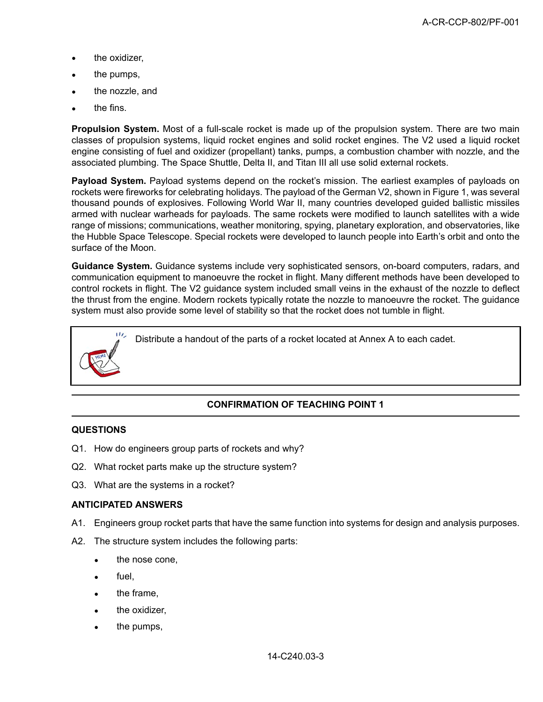- the oxidizer,
- the pumps,
- the nozzle, and
- the fins.

**Propulsion System.** Most of a full-scale rocket is made up of the propulsion system. There are two main classes of propulsion systems, liquid rocket engines and solid rocket engines. The V2 used a liquid rocket engine consisting of fuel and oxidizer (propellant) tanks, pumps, a combustion chamber with nozzle, and the associated plumbing. The Space Shuttle, Delta II, and Titan III all use solid external rockets.

**Payload System.** Payload systems depend on the rocket's mission. The earliest examples of payloads on rockets were fireworks for celebrating holidays. The payload of the German V2, shown in Figure 1, was several thousand pounds of explosives. Following World War II, many countries developed guided ballistic missiles armed with nuclear warheads for payloads. The same rockets were modified to launch satellites with a wide range of missions; communications, weather monitoring, spying, planetary exploration, and observatories, like the Hubble Space Telescope. Special rockets were developed to launch people into Earth's orbit and onto the surface of the Moon.

**Guidance System.** Guidance systems include very sophisticated sensors, on-board computers, radars, and communication equipment to manoeuvre the rocket in flight. Many different methods have been developed to control rockets in flight. The V2 guidance system included small veins in the exhaust of the nozzle to deflect the thrust from the engine. Modern rockets typically rotate the nozzle to manoeuvre the rocket. The guidance system must also provide some level of stability so that the rocket does not tumble in flight.



#### **CONFIRMATION OF TEACHING POINT 1**

#### **QUESTIONS**

- Q1. How do engineers group parts of rockets and why?
- Q2. What rocket parts make up the structure system?
- Q3. What are the systems in a rocket?

#### **ANTICIPATED ANSWERS**

- A1. Engineers group rocket parts that have the same function into systems for design and analysis purposes.
- A2. The structure system includes the following parts:
	- the nose cone,
	- fuel,
	- the frame,
	- the oxidizer,
	- the pumps,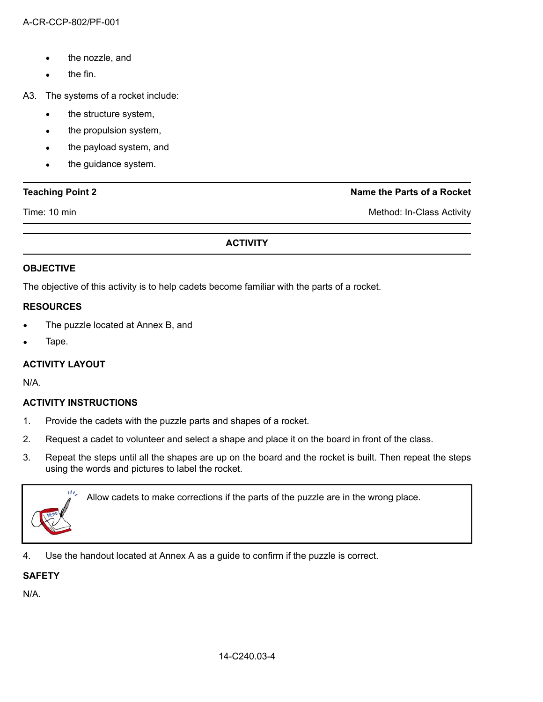- the nozzle, and
- the fin.
- A3. The systems of a rocket include:
	- the structure system,
	- the propulsion system,
	- the payload system, and
	- the guidance system.

**Teaching Point 2 Name the Parts of a Rocket** 

Time: 10 min Method: In-Class Activity

#### **ACTIVITY**

#### **OBJECTIVE**

The objective of this activity is to help cadets become familiar with the parts of a rocket.

#### **RESOURCES**

- The puzzle located at Annex B, and
- Tape.

#### **ACTIVITY LAYOUT**

N/A.

#### **ACTIVITY INSTRUCTIONS**

- 1. Provide the cadets with the puzzle parts and shapes of a rocket.
- 2. Request a cadet to volunteer and select a shape and place it on the board in front of the class.
- 3. Repeat the steps until all the shapes are up on the board and the rocket is built. Then repeat the steps using the words and pictures to label the rocket.



Allow cadets to make corrections if the parts of the puzzle are in the wrong place.

4. Use the handout located at Annex A as a guide to confirm if the puzzle is correct.

#### **SAFETY**

N/A.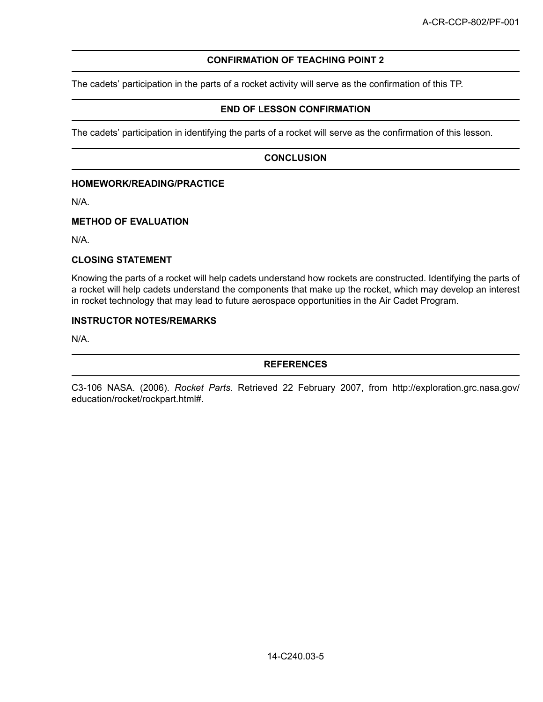#### **CONFIRMATION OF TEACHING POINT 2**

The cadets' participation in the parts of a rocket activity will serve as the confirmation of this TP.

#### **END OF LESSON CONFIRMATION**

The cadets' participation in identifying the parts of a rocket will serve as the confirmation of this lesson.

#### **CONCLUSION**

#### **HOMEWORK/READING/PRACTICE**

N/A.

#### **METHOD OF EVALUATION**

N/A.

#### **CLOSING STATEMENT**

Knowing the parts of a rocket will help cadets understand how rockets are constructed. Identifying the parts of a rocket will help cadets understand the components that make up the rocket, which may develop an interest in rocket technology that may lead to future aerospace opportunities in the Air Cadet Program.

#### **INSTRUCTOR NOTES/REMARKS**

N/A.

#### **REFERENCES**

C3-106 NASA. (2006). *Rocket Parts.* Retrieved 22 February 2007, from http://exploration.grc.nasa.gov/ education/rocket/rockpart.html#.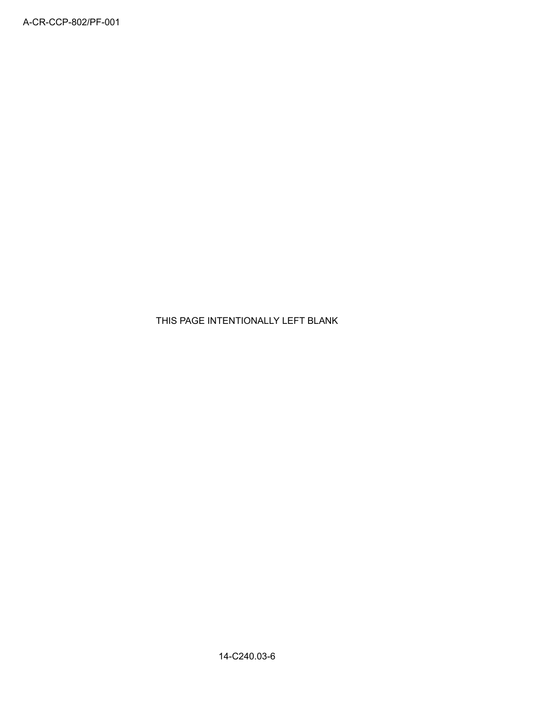THIS PAGE INTENTIONALLY LEFT BLANK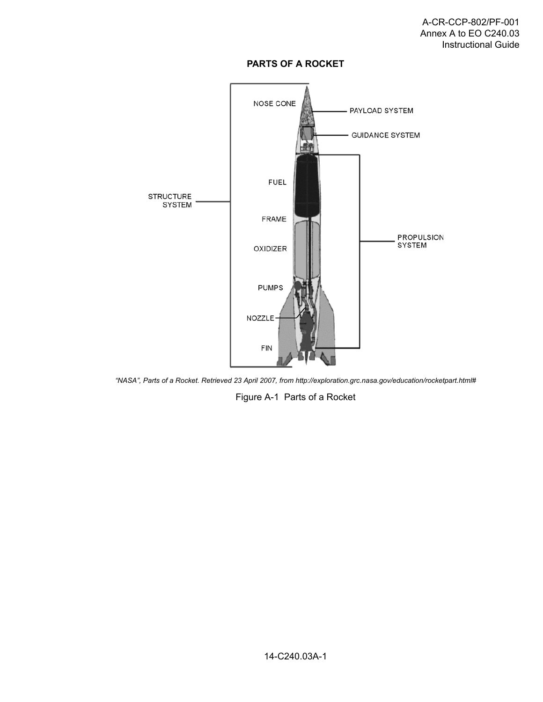#### **PARTS OF A ROCKET**



*"NASA", Parts of a Rocket. Retrieved 23 April 2007, from http://exploration.grc.nasa.gov/education/rocketpart.html#*

Figure A-1 Parts of a Rocket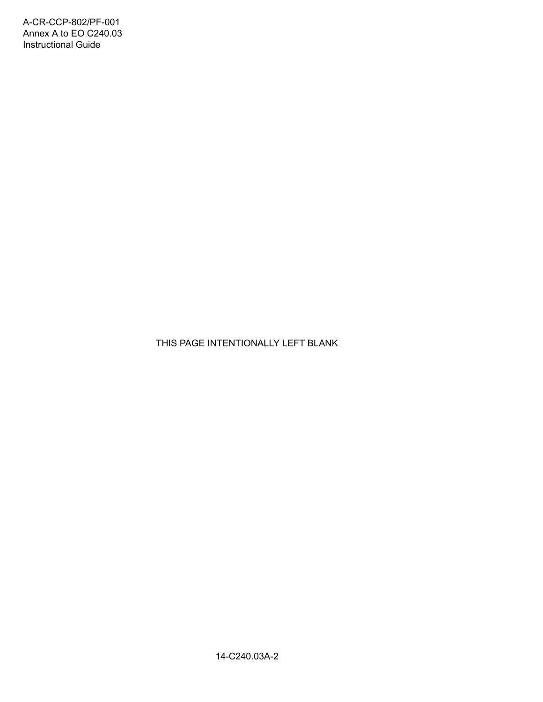THIS PAGE INTENTIONALLY LEFT BLANK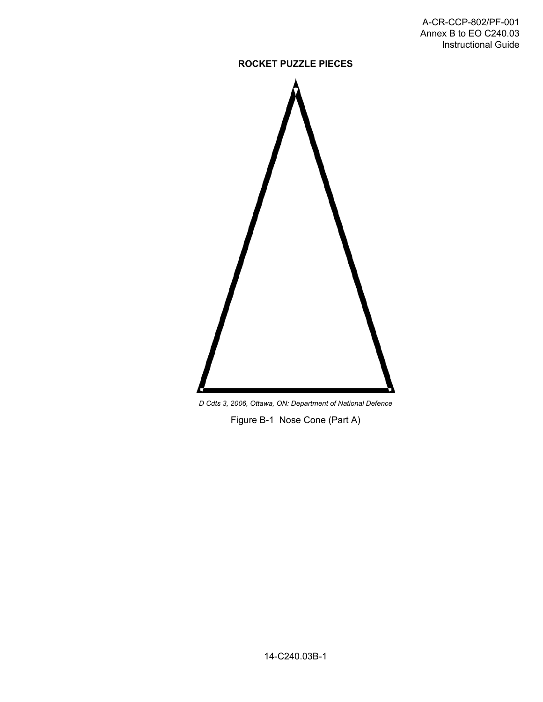#### **ROCKET PUZZLE PIECES**



*D Cdts 3, 2006, Ottawa, ON: Department of National Defence*

Figure B-1 Nose Cone (Part A)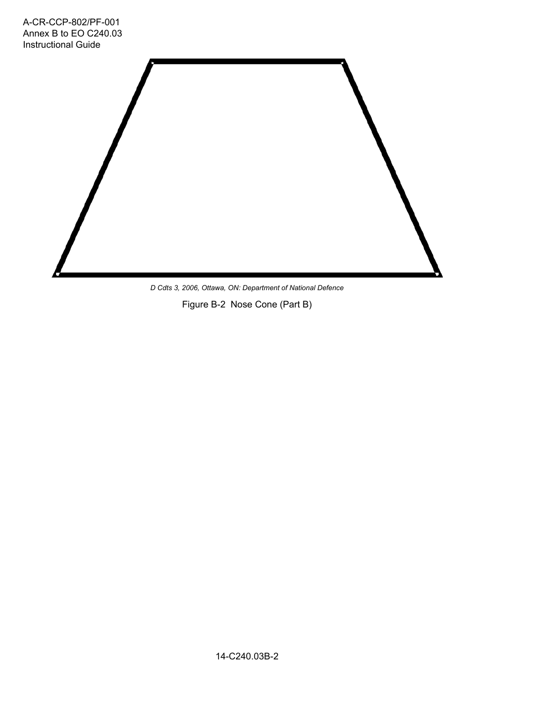#### A-CR-CCP-802/PF-001 Annex B to EO C240.03 Instructional Guide



Figure B-2 Nose Cone (Part B)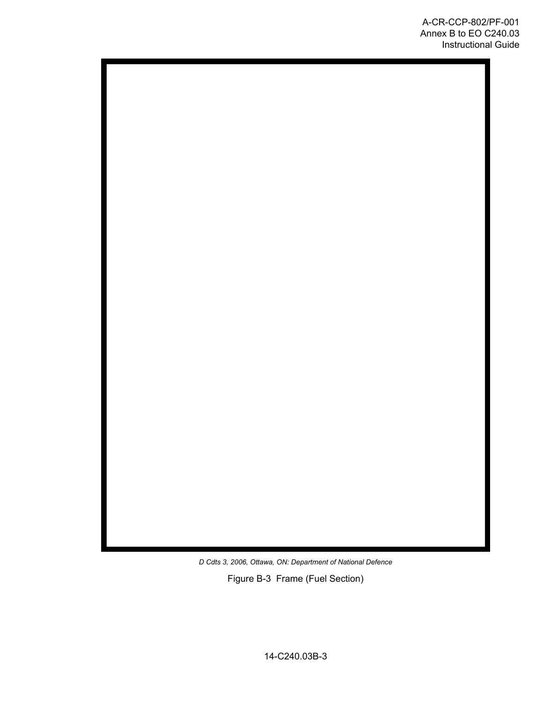*D Cdts 3, 2006, Ottawa, ON: Department of National Defence*

Figure B-3 Frame (Fuel Section)

14-C240.03B-3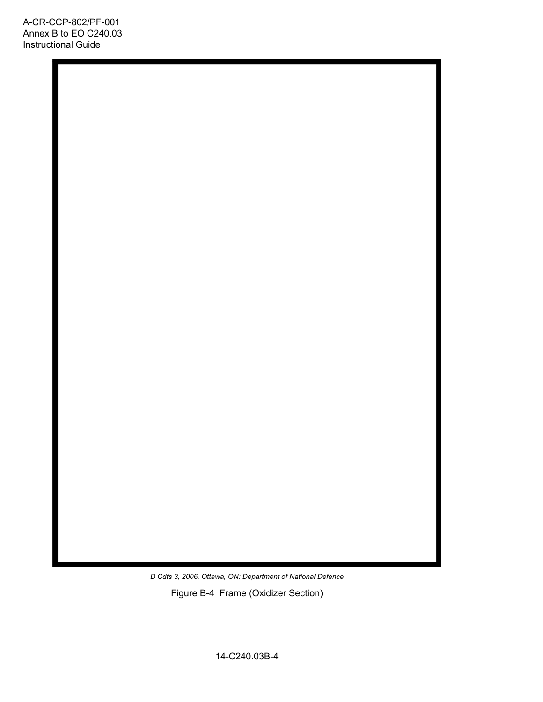

Figure B-4 Frame (Oxidizer Section)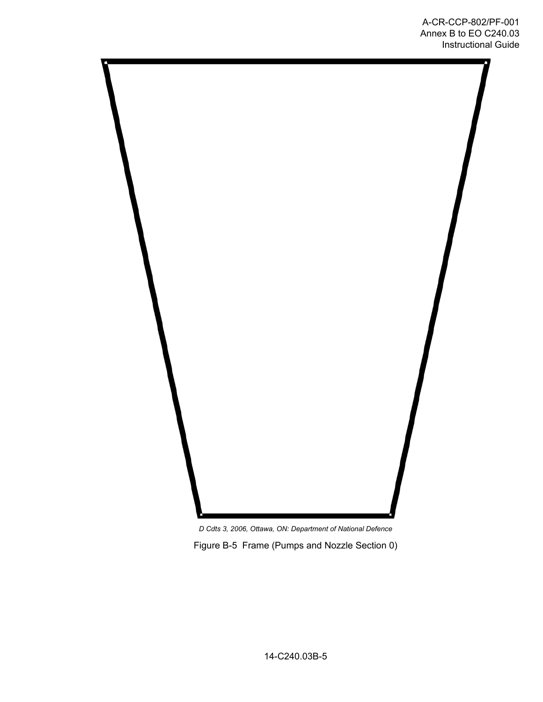



Figure B-5 Frame (Pumps and Nozzle Section 0)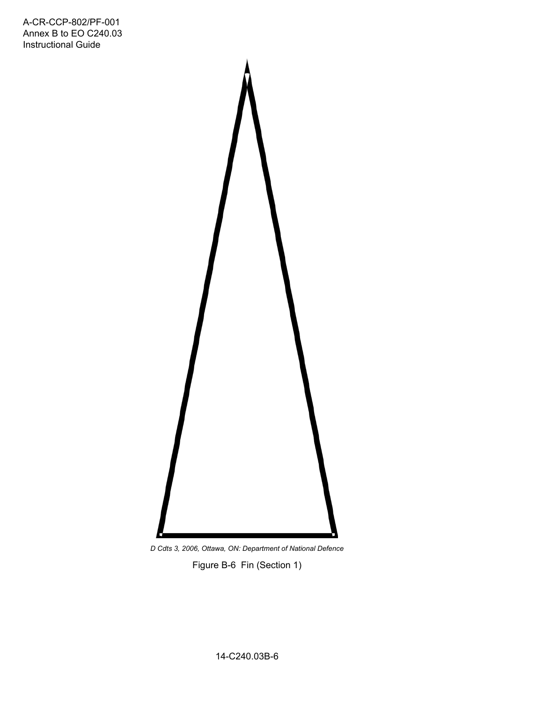

*D Cdts 3, 2006, Ottawa, ON: Department of National Defence*

Figure B-6 Fin (Section 1)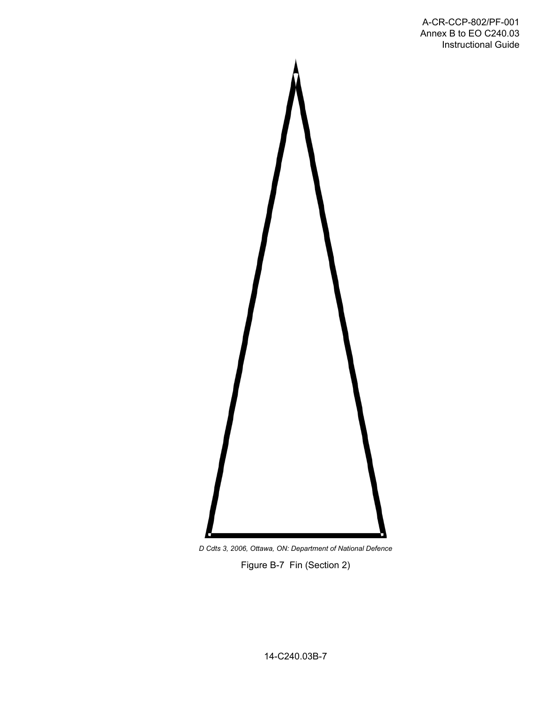



Figure B-7 Fin (Section 2)

14-C240.03B-7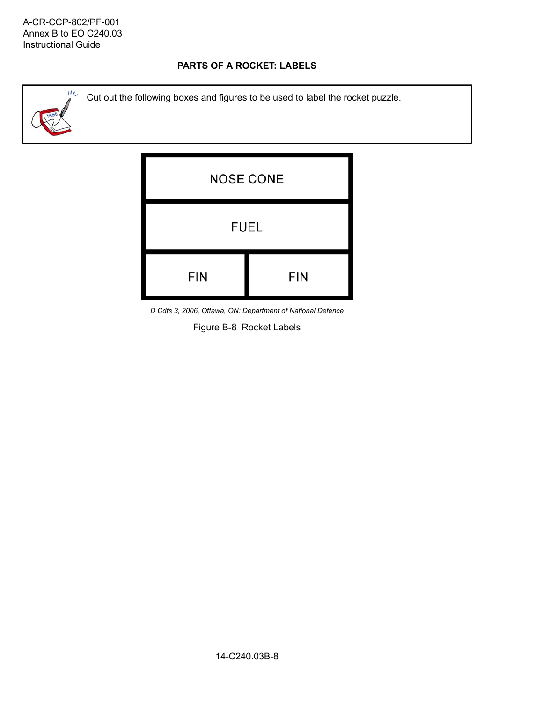### **PARTS OF A ROCKET: LABELS**

 $\mathbf{u}_i$ Cut out the following boxes and figures to be used to label the rocket puzzle.



| <b>NOSE CONE</b> |            |  |
|------------------|------------|--|
| <b>FUEL</b>      |            |  |
| <b>FIN</b>       | <b>FIN</b> |  |

*D Cdts 3, 2006, Ottawa, ON: Department of National Defence*

Figure B-8 Rocket Labels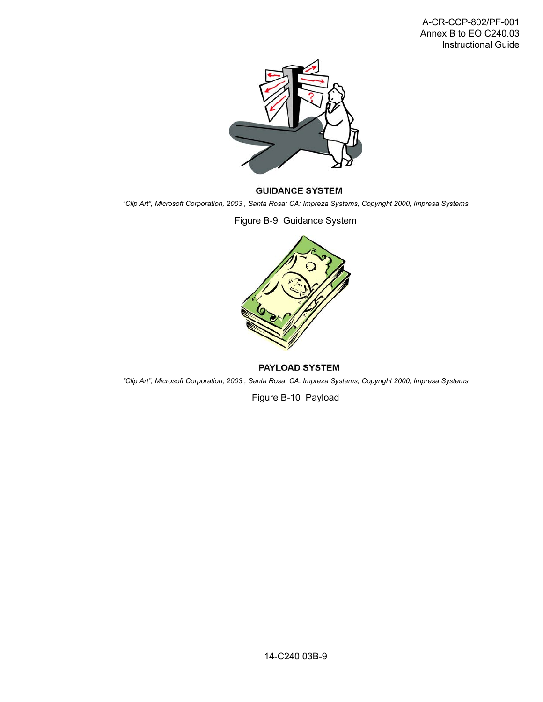

#### **GUIDANCE SYSTEM**

*"Clip Art", Microsoft Corporation, 2003 , Santa Rosa: CA: Impreza Systems, Copyright 2000, Impresa Systems*

Figure B-9 Guidance System



#### **PAYLOAD SYSTEM**

*"Clip Art", Microsoft Corporation, 2003 , Santa Rosa: CA: Impreza Systems, Copyright 2000, Impresa Systems*

Figure B-10 Payload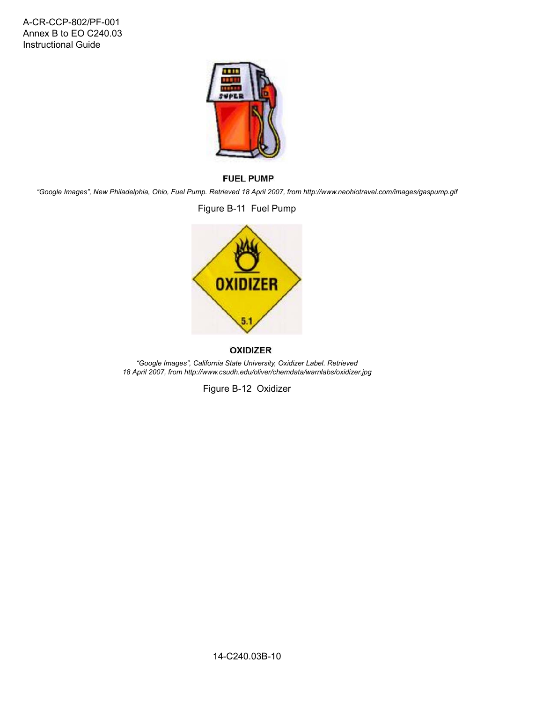

#### **FUEL PUMP**

*"Google Images", New Philadelphia, Ohio, Fuel Pump. Retrieved 18 April 2007, from http://www.neohiotravel.com/images/gaspump.gif*

Figure B-11 Fuel Pump



#### **OXIDIZER**

*"Google Images", California State University, Oxidizer Label. Retrieved 18 April 2007, from http://www.csudh.edu/oliver/chemdata/warnlabs/oxidizer.jpg*

Figure B-12 Oxidizer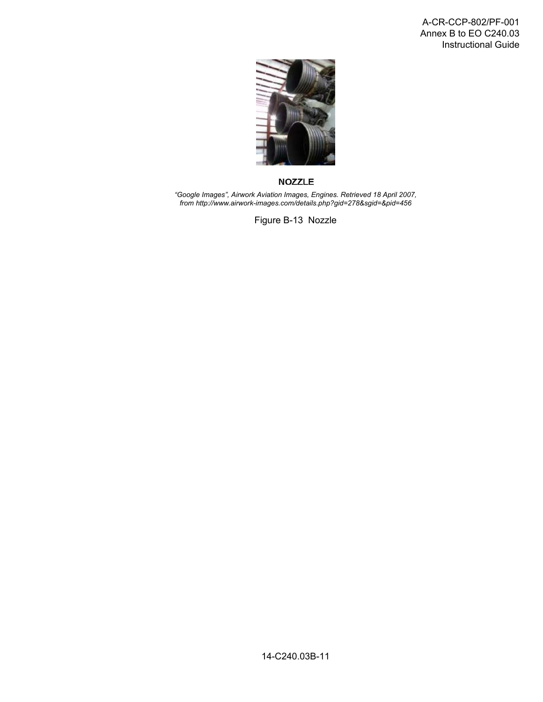

#### **NOZZLE**

*"Google Images", Airwork Aviation Images, Engines. Retrieved 18 April 2007, from http://www.airwork-images.com/details.php?gid=278&sgid=&pid=456*

Figure B-13 Nozzle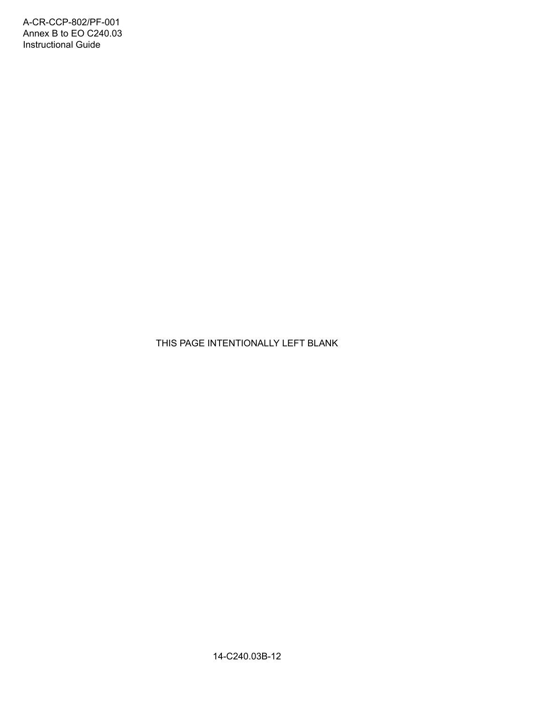THIS PAGE INTENTIONALLY LEFT BLANK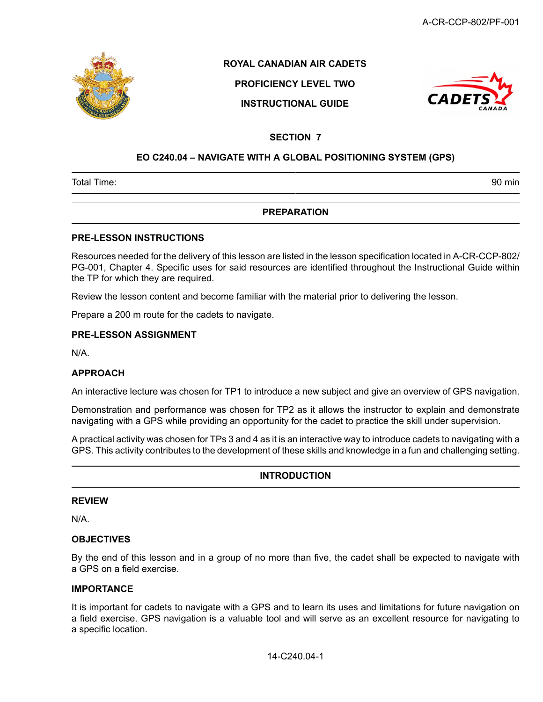

#### **ROYAL CANADIAN AIR CADETS**

### **PROFICIENCY LEVEL TWO INSTRUCTIONAL GUIDE**



#### **SECTION 7**

#### **EO C240.04 – NAVIGATE WITH A GLOBAL POSITIONING SYSTEM (GPS)**

Total Time: 90 min

#### **PREPARATION**

#### **PRE-LESSON INSTRUCTIONS**

Resources needed for the delivery of this lesson are listed in the lesson specification located in A-CR-CCP-802/ PG-001, Chapter 4. Specific uses for said resources are identified throughout the Instructional Guide within the TP for which they are required.

Review the lesson content and become familiar with the material prior to delivering the lesson.

Prepare a 200 m route for the cadets to navigate.

#### **PRE-LESSON ASSIGNMENT**

N/A.

#### **APPROACH**

An interactive lecture was chosen for TP1 to introduce a new subject and give an overview of GPS navigation.

Demonstration and performance was chosen for TP2 as it allows the instructor to explain and demonstrate navigating with a GPS while providing an opportunity for the cadet to practice the skill under supervision.

A practical activity was chosen for TPs 3 and 4 as it is an interactive way to introduce cadets to navigating with a GPS. This activity contributes to the development of these skills and knowledge in a fun and challenging setting.

#### **INTRODUCTION**

#### **REVIEW**

N/A.

#### **OBJECTIVES**

By the end of this lesson and in a group of no more than five, the cadet shall be expected to navigate with a GPS on a field exercise.

#### **IMPORTANCE**

It is important for cadets to navigate with a GPS and to learn its uses and limitations for future navigation on a field exercise. GPS navigation is a valuable tool and will serve as an excellent resource for navigating to a specific location.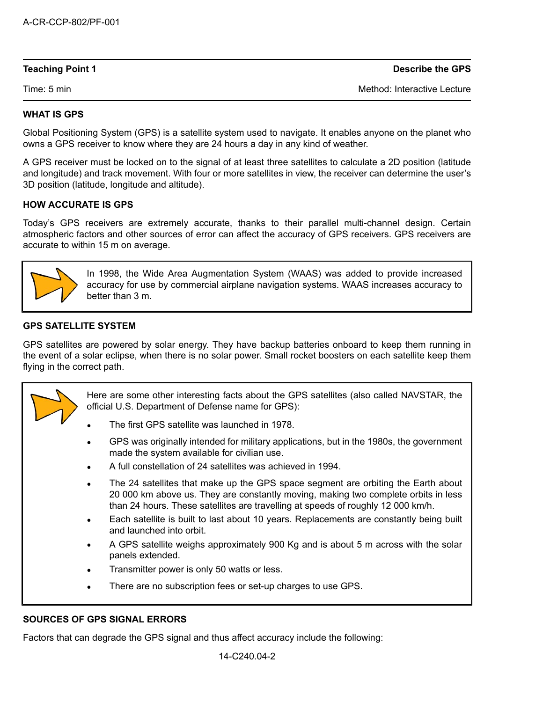|  | <b>Teaching Point 1</b> |  |
|--|-------------------------|--|
|  |                         |  |

**Describe the GPS** 

Time: 5 min Method: Interactive Lecture Companies and Method: Interactive Lecture

#### **WHAT IS GPS**

Global Positioning System (GPS) is a satellite system used to navigate. It enables anyone on the planet who owns a GPS receiver to know where they are 24 hours a day in any kind of weather.

A GPS receiver must be locked on to the signal of at least three satellites to calculate a 2D position (latitude and longitude) and track movement. With four or more satellites in view, the receiver can determine the user's 3D position (latitude, longitude and altitude).

#### **HOW ACCURATE IS GPS**

Today's GPS receivers are extremely accurate, thanks to their parallel multi-channel design. Certain atmospheric factors and other sources of error can affect the accuracy of GPS receivers. GPS receivers are accurate to within 15 m on average.



In 1998, the Wide Area Augmentation System (WAAS) was added to provide increased accuracy for use by commercial airplane navigation systems. WAAS increases accuracy to better than 3 m.

#### **GPS SATELLITE SYSTEM**

GPS satellites are powered by solar energy. They have backup batteries onboard to keep them running in the event of a solar eclipse, when there is no solar power. Small rocket boosters on each satellite keep them flying in the correct path.



Here are some other interesting facts about the GPS satellites (also called NAVSTAR, the official U.S. Department of Defense name for GPS):

- The first GPS satellite was launched in 1978.
- GPS was originally intended for military applications, but in the 1980s, the government made the system available for civilian use.
- A full constellation of 24 satellites was achieved in 1994.
- The 24 satellites that make up the GPS space segment are orbiting the Earth about 20 000 km above us. They are constantly moving, making two complete orbits in less than 24 hours. These satellites are travelling at speeds of roughly 12 000 km/h.
- Each satellite is built to last about 10 years. Replacements are constantly being built and launched into orbit.
- A GPS satellite weighs approximately 900 Kg and is about 5 m across with the solar panels extended.
- Transmitter power is only 50 watts or less.
- There are no subscription fees or set-up charges to use GPS.

#### **SOURCES OF GPS SIGNAL ERRORS**

Factors that can degrade the GPS signal and thus affect accuracy include the following: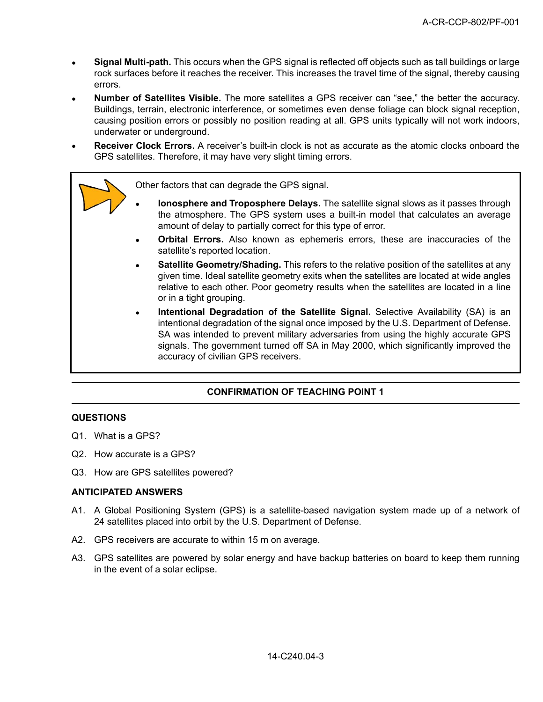- **Signal Multi-path.** This occurs when the GPS signal is reflected off objects such as tall buildings or large rock surfaces before it reaches the receiver. This increases the travel time of the signal, thereby causing errors.
- **Number of Satellites Visible.** The more satellites a GPS receiver can "see," the better the accuracy. Buildings, terrain, electronic interference, or sometimes even dense foliage can block signal reception, causing position errors or possibly no position reading at all. GPS units typically will not work indoors, underwater or underground.
- **Receiver Clock Errors.** A receiver's built-in clock is not as accurate as the atomic clocks onboard the GPS satellites. Therefore, it may have very slight timing errors.

Other factors that can degrade the GPS signal.

- **Ionosphere and Troposphere Delays.** The satellite signal slows as it passes through the atmosphere. The GPS system uses a built-in model that calculates an average amount of delay to partially correct for this type of error.
- **Orbital Errors.** Also known as ephemeris errors, these are inaccuracies of the satellite's reported location.
- **Satellite Geometry/Shading.** This refers to the relative position of the satellites at any given time. Ideal satellite geometry exits when the satellites are located at wide angles relative to each other. Poor geometry results when the satellites are located in a line or in a tight grouping.
- **Intentional Degradation of the Satellite Signal.** Selective Availability (SA) is an intentional degradation of the signal once imposed by the U.S. Department of Defense. SA was intended to prevent military adversaries from using the highly accurate GPS signals. The government turned off SA in May 2000, which significantly improved the accuracy of civilian GPS receivers.

## **CONFIRMATION OF TEACHING POINT 1**

## **QUESTIONS**

- Q1. What is a GPS?
- Q2. How accurate is a GPS?
- Q3. How are GPS satellites powered?

## **ANTICIPATED ANSWERS**

- A1. A Global Positioning System (GPS) is a satellite-based navigation system made up of a network of 24 satellites placed into orbit by the U.S. Department of Defense.
- A2. GPS receivers are accurate to within 15 m on average.
- A3. GPS satellites are powered by solar energy and have backup batteries on board to keep them running in the event of a solar eclipse.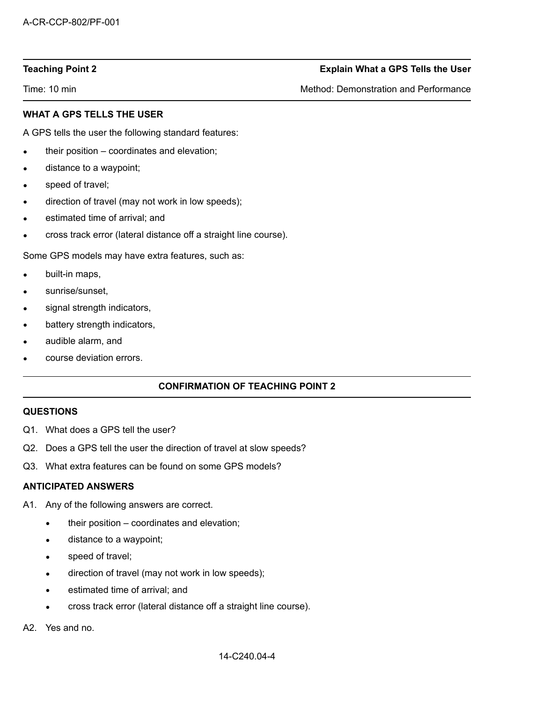### **Teaching Point 2 Explain What a GPS Tells the User**

Time: 10 min Method: Demonstration and Performance

# **WHAT A GPS TELLS THE USER**

A GPS tells the user the following standard features:

- their position – coordinates and elevation;
- distance to a waypoint;
- speed of travel;
- direction of travel (may not work in low speeds);
- estimated time of arrival; and
- cross track error (lateral distance off a straight line course).

Some GPS models may have extra features, such as:

- built-in maps,
- sunrise/sunset,
- signal strength indicators,
- battery strength indicators,
- audible alarm, and
- course deviation errors.

## **CONFIRMATION OF TEACHING POINT 2**

## **QUESTIONS**

- Q1. What does a GPS tell the user?
- Q2. Does a GPS tell the user the direction of travel at slow speeds?
- Q3. What extra features can be found on some GPS models?

#### **ANTICIPATED ANSWERS**

- A1. Any of the following answers are correct.
	- their position – coordinates and elevation;
	- distance to a waypoint;
	- speed of travel;
	- direction of travel (may not work in low speeds);
	- estimated time of arrival; and
	- cross track error (lateral distance off a straight line course).
- A2. Yes and no.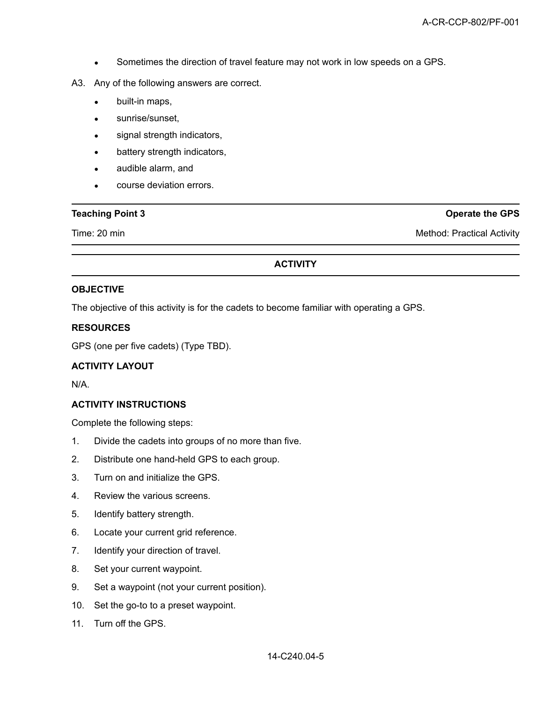- Sometimes the direction of travel feature may not work in low speeds on a GPS.
- A3. Any of the following answers are correct.
	- built-in maps,
	- sunrise/sunset,
	- signal strength indicators,
	- battery strength indicators,
	- audible alarm, and
	- course deviation errors.

#### **Teaching Point 3 Operate the GPS**

Time: 20 min Method: Practical Activity

## **ACTIVITY**

## **OBJECTIVE**

The objective of this activity is for the cadets to become familiar with operating a GPS.

## **RESOURCES**

GPS (one per five cadets) (Type TBD).

## **ACTIVITY LAYOUT**

N/A.

#### **ACTIVITY INSTRUCTIONS**

Complete the following steps:

- 1. Divide the cadets into groups of no more than five.
- 2. Distribute one hand-held GPS to each group.
- 3. Turn on and initialize the GPS.
- 4. Review the various screens.
- 5. Identify battery strength.
- 6. Locate your current grid reference.
- 7. Identify your direction of travel.
- 8. Set your current waypoint.
- 9. Set a waypoint (not your current position).
- 10. Set the go-to to a preset waypoint.
- 11. Turn off the GPS.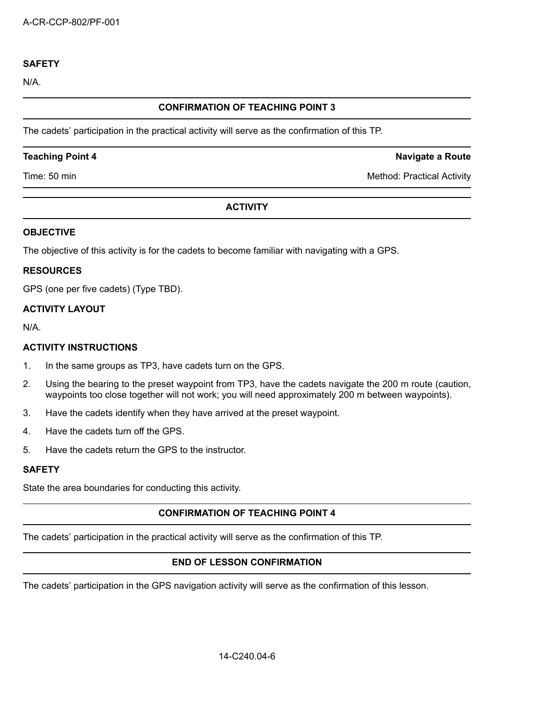## **SAFETY**

N/A.

## **CONFIRMATION OF TEACHING POINT 3**

The cadets' participation in the practical activity will serve as the confirmation of this TP.

## **ACTIVITY**

#### **OBJECTIVE**

The objective of this activity is for the cadets to become familiar with navigating with a GPS.

#### **RESOURCES**

GPS (one per five cadets) (Type TBD).

## **ACTIVITY LAYOUT**

N/A.

### **ACTIVITY INSTRUCTIONS**

- 1. In the same groups as TP3, have cadets turn on the GPS.
- 2. Using the bearing to the preset waypoint from TP3, have the cadets navigate the 200 m route (caution, waypoints too close together will not work; you will need approximately 200 m between waypoints).
- 3. Have the cadets identify when they have arrived at the preset waypoint.
- 4. Have the cadets turn off the GPS.
- 5. Have the cadets return the GPS to the instructor.

### **SAFETY**

State the area boundaries for conducting this activity.

## **CONFIRMATION OF TEACHING POINT 4**

The cadets' participation in the practical activity will serve as the confirmation of this TP.

## **END OF LESSON CONFIRMATION**

The cadets' participation in the GPS navigation activity will serve as the confirmation of this lesson.

**Teaching Point 4 Navigate a Route**

Time: 50 min Method: Practical Activity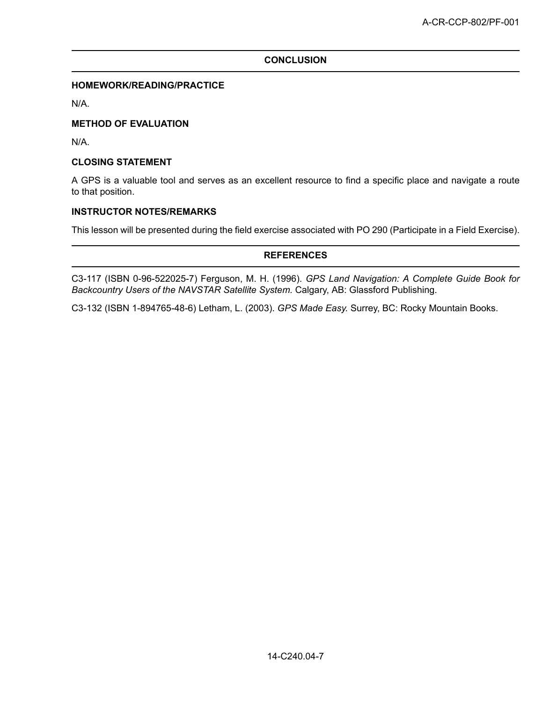## **CONCLUSION**

#### **HOMEWORK/READING/PRACTICE**

N/A.

### **METHOD OF EVALUATION**

N/A.

#### **CLOSING STATEMENT**

A GPS is a valuable tool and serves as an excellent resource to find a specific place and navigate a route to that position.

## **INSTRUCTOR NOTES/REMARKS**

This lesson will be presented during the field exercise associated with PO 290 (Participate in a Field Exercise).

#### **REFERENCES**

C3-117 (ISBN 0-96-522025-7) Ferguson, M. H. (1996). *GPS Land Navigation: A Complete Guide Book for Backcountry Users of the NAVSTAR Satellite System.* Calgary, AB: Glassford Publishing.

C3-132 (ISBN 1-894765-48-6) Letham, L. (2003). *GPS Made Easy.* Surrey, BC: Rocky Mountain Books.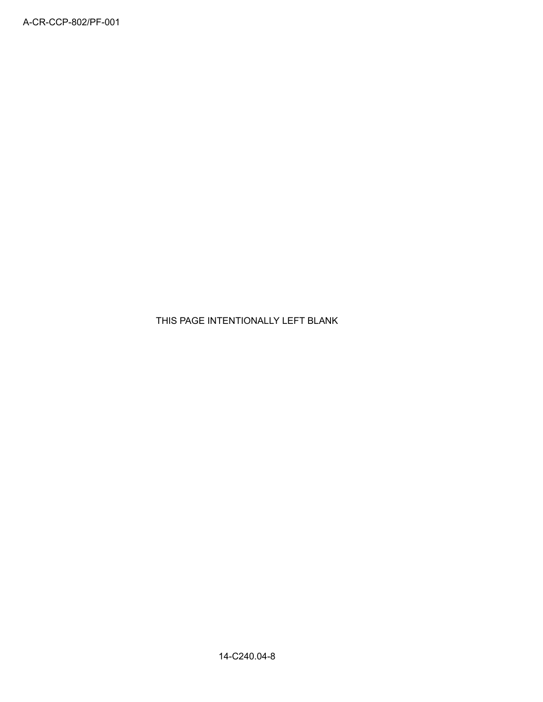THIS PAGE INTENTIONALLY LEFT BLANK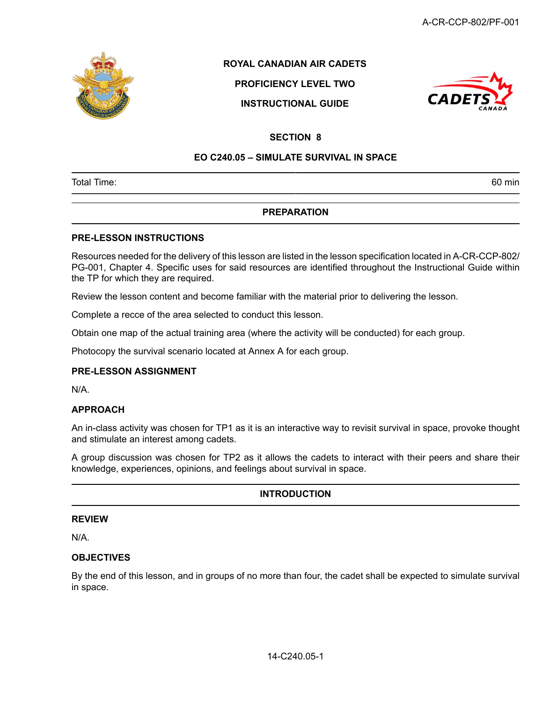

# **ROYAL CANADIAN AIR CADETS**

## **PROFICIENCY LEVEL TWO**

## **INSTRUCTIONAL GUIDE**



## **SECTION 8**

### **EO C240.05 – SIMULATE SURVIVAL IN SPACE**

Total Time: 60 min

## **PREPARATION**

#### **PRE-LESSON INSTRUCTIONS**

Resources needed for the delivery of this lesson are listed in the lesson specification located in A-CR-CCP-802/ PG-001, Chapter 4. Specific uses for said resources are identified throughout the Instructional Guide within the TP for which they are required.

Review the lesson content and become familiar with the material prior to delivering the lesson.

Complete a recce of the area selected to conduct this lesson.

Obtain one map of the actual training area (where the activity will be conducted) for each group.

Photocopy the survival scenario located at Annex A for each group.

#### **PRE-LESSON ASSIGNMENT**

N/A.

## **APPROACH**

An in-class activity was chosen for TP1 as it is an interactive way to revisit survival in space, provoke thought and stimulate an interest among cadets.

A group discussion was chosen for TP2 as it allows the cadets to interact with their peers and share their knowledge, experiences, opinions, and feelings about survival in space.

## **INTRODUCTION**

#### **REVIEW**

N/A.

## **OBJECTIVES**

By the end of this lesson, and in groups of no more than four, the cadet shall be expected to simulate survival in space.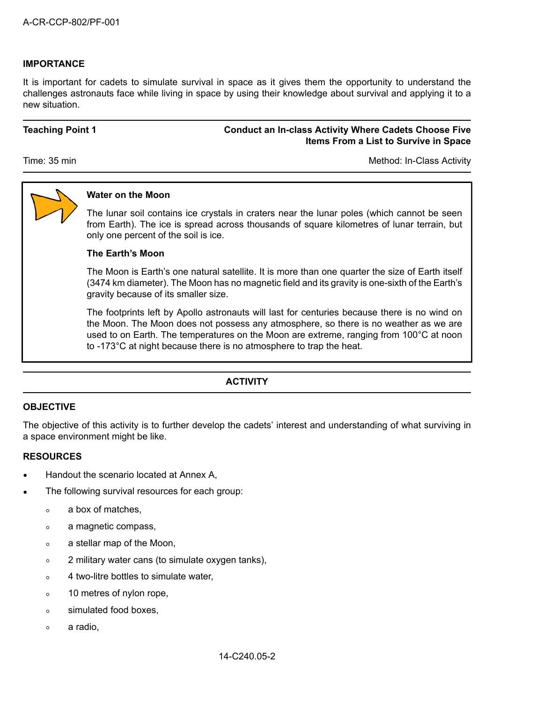## **IMPORTANCE**

It is important for cadets to simulate survival in space as it gives them the opportunity to understand the challenges astronauts face while living in space by using their knowledge about survival and applying it to a new situation.

#### **Teaching Point 1 Conduct an In-class Activity Where Cadets Choose Five Items From a List to Survive in Space**

Time: 35 min Method: In-Class Activity

## **Water on the Moon**

The lunar soil contains ice crystals in craters near the lunar poles (which cannot be seen from Earth). The ice is spread across thousands of square kilometres of lunar terrain, but only one percent of the soil is ice.

### **The Earth's Moon**

The Moon is Earth's one natural satellite. It is more than one quarter the size of Earth itself (3474 km diameter). The Moon has no magnetic field and its gravity is one-sixth of the Earth's gravity because of its smaller size.

The footprints left by Apollo astronauts will last for centuries because there is no wind on the Moon. The Moon does not possess any atmosphere, so there is no weather as we are used to on Earth. The temperatures on the Moon are extreme, ranging from 100°C at noon to -173°C at night because there is no atmosphere to trap the heat.

## **ACTIVITY**

## **OBJECTIVE**

The objective of this activity is to further develop the cadets' interest and understanding of what surviving in a space environment might be like.

## **RESOURCES**

- Handout the scenario located at Annex A,
- The following survival resources for each group:
	- a box of matches,
	- a magnetic compass,
	- a stellar map of the Moon,
	- 2 military water cans (to simulate oxygen tanks),
	- 4 two-litre bottles to simulate water,
	- 10 metres of nylon rope,
	- simulated food boxes,
	- a radio,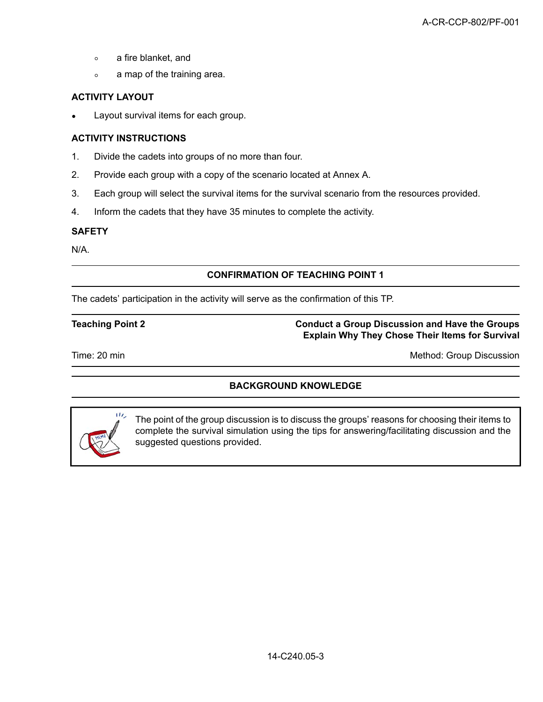- a fire blanket, and
- a map of the training area.

## **ACTIVITY LAYOUT**

• Layout survival items for each group.

## **ACTIVITY INSTRUCTIONS**

- 1. Divide the cadets into groups of no more than four.
- 2. Provide each group with a copy of the scenario located at Annex A.
- 3. Each group will select the survival items for the survival scenario from the resources provided.
- 4. Inform the cadets that they have 35 minutes to complete the activity.

## **SAFETY**

N/A.

## **CONFIRMATION OF TEACHING POINT 1**

The cadets' participation in the activity will serve as the confirmation of this TP.

## **Teaching Point 2 Conduct a Group Discussion and Have the Groups Explain Why They Chose Their Items for Survival**

Time: 20 min Method: Group Discussion Nethod: Group Discussion

## **BACKGROUND KNOWLEDGE**



The point of the group discussion is to discuss the groups' reasons for choosing their items to complete the survival simulation using the tips for answering/facilitating discussion and the suggested questions provided.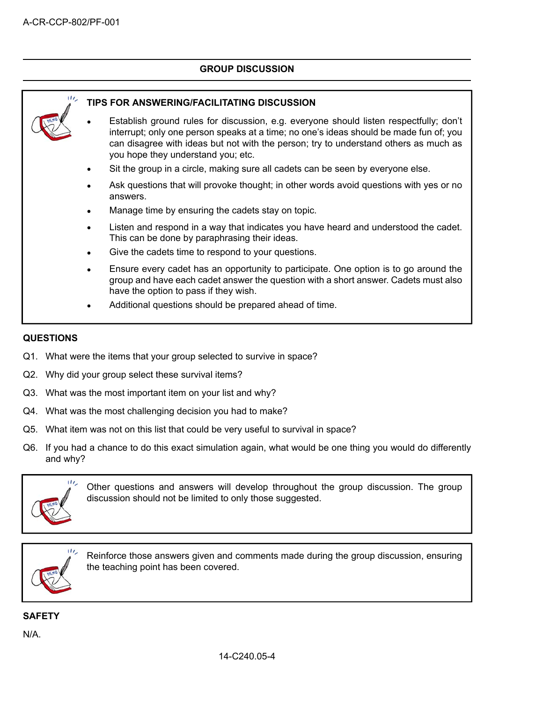# **GROUP DISCUSSION**



# **TIPS FOR ANSWERING/FACILITATING DISCUSSION**

- Establish ground rules for discussion, e.g. everyone should listen respectfully; don't interrupt; only one person speaks at a time; no one's ideas should be made fun of; you can disagree with ideas but not with the person; try to understand others as much as you hope they understand you; etc.
- Sit the group in a circle, making sure all cadets can be seen by everyone else.
- Ask questions that will provoke thought; in other words avoid questions with yes or no answers.
- Manage time by ensuring the cadets stay on topic.
- Listen and respond in a way that indicates you have heard and understood the cadet. This can be done by paraphrasing their ideas.
- Give the cadets time to respond to your questions.
- Ensure every cadet has an opportunity to participate. One option is to go around the group and have each cadet answer the question with a short answer. Cadets must also have the option to pass if they wish.
- Additional questions should be prepared ahead of time.

## **QUESTIONS**

- Q1. What were the items that your group selected to survive in space?
- Q2. Why did your group select these survival items?
- Q3. What was the most important item on your list and why?
- Q4. What was the most challenging decision you had to make?
- Q5. What item was not on this list that could be very useful to survival in space?
- Q6. If you had a chance to do this exact simulation again, what would be one thing you would do differently and why?



Other questions and answers will develop throughout the group discussion. The group discussion should not be limited to only those suggested.



Reinforce those answers given and comments made during the group discussion, ensuring the teaching point has been covered.

## **SAFETY**

N/A.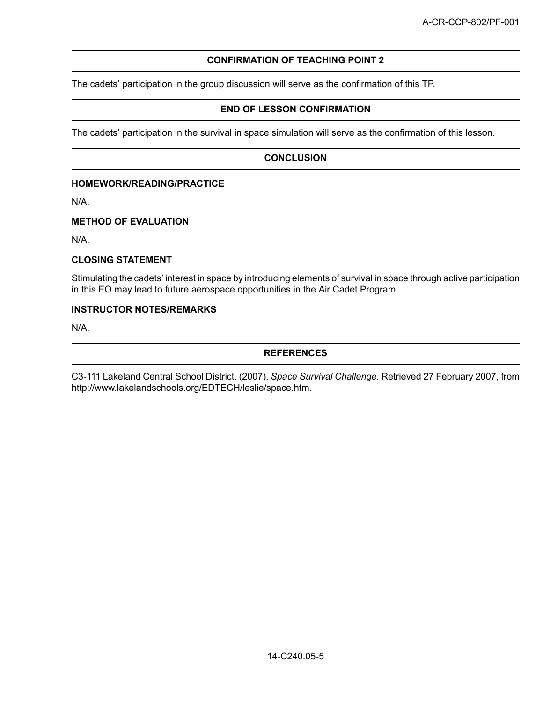## **CONFIRMATION OF TEACHING POINT 2**

The cadets' participation in the group discussion will serve as the confirmation of this TP.

## **END OF LESSON CONFIRMATION**

The cadets' participation in the survival in space simulation will serve as the confirmation of this lesson.

## **CONCLUSION**

#### **HOMEWORK/READING/PRACTICE**

N/A.

#### **METHOD OF EVALUATION**

N/A.

#### **CLOSING STATEMENT**

Stimulating the cadets' interest in space by introducing elements of survival in space through active participation in this EO may lead to future aerospace opportunities in the Air Cadet Program.

#### **INSTRUCTOR NOTES/REMARKS**

N/A.

# **REFERENCES**

C3-111 Lakeland Central School District. (2007). *Space Survival Challenge.* Retrieved 27 February 2007, from http://www.lakelandschools.org/EDTECH/leslie/space.htm.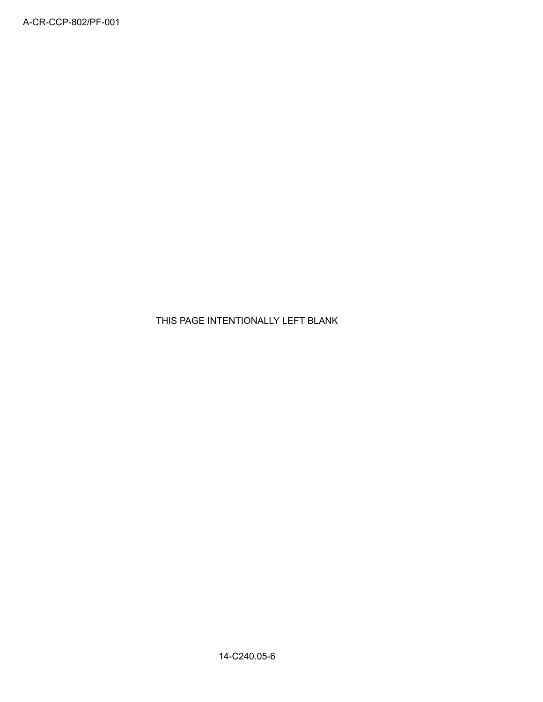THIS PAGE INTENTIONALLY LEFT BLANK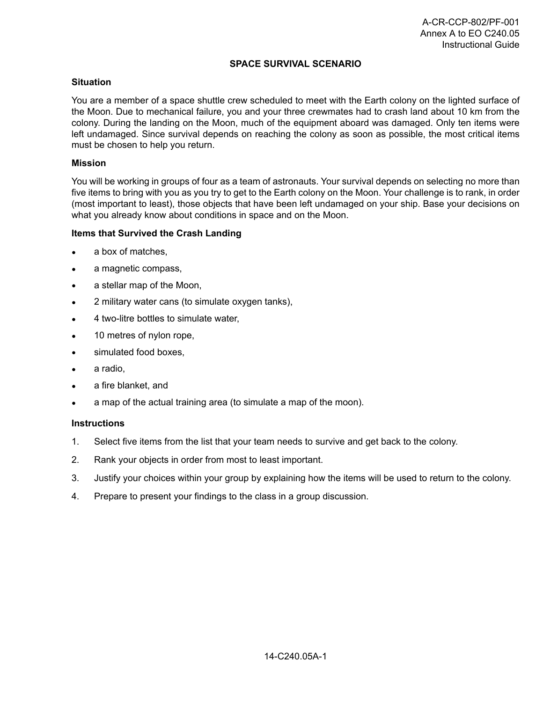## **SPACE SURVIVAL SCENARIO**

#### **Situation**

You are a member of a space shuttle crew scheduled to meet with the Earth colony on the lighted surface of the Moon. Due to mechanical failure, you and your three crewmates had to crash land about 10 km from the colony. During the landing on the Moon, much of the equipment aboard was damaged. Only ten items were left undamaged. Since survival depends on reaching the colony as soon as possible, the most critical items must be chosen to help you return.

### **Mission**

You will be working in groups of four as a team of astronauts. Your survival depends on selecting no more than five items to bring with you as you try to get to the Earth colony on the Moon. Your challenge is to rank, in order (most important to least), those objects that have been left undamaged on your ship. Base your decisions on what you already know about conditions in space and on the Moon.

### **Items that Survived the Crash Landing**

- a box of matches
- a magnetic compass,
- a stellar map of the Moon,
- 2 military water cans (to simulate oxygen tanks),
- 4 two-litre bottles to simulate water,
- 10 metres of nylon rope,
- simulated food boxes.
- a radio,
- a fire blanket, and
- a map of the actual training area (to simulate a map of the moon).

#### **Instructions**

- 1. Select five items from the list that your team needs to survive and get back to the colony.
- 2. Rank your objects in order from most to least important.
- 3. Justify your choices within your group by explaining how the items will be used to return to the colony.
- 4. Prepare to present your findings to the class in a group discussion.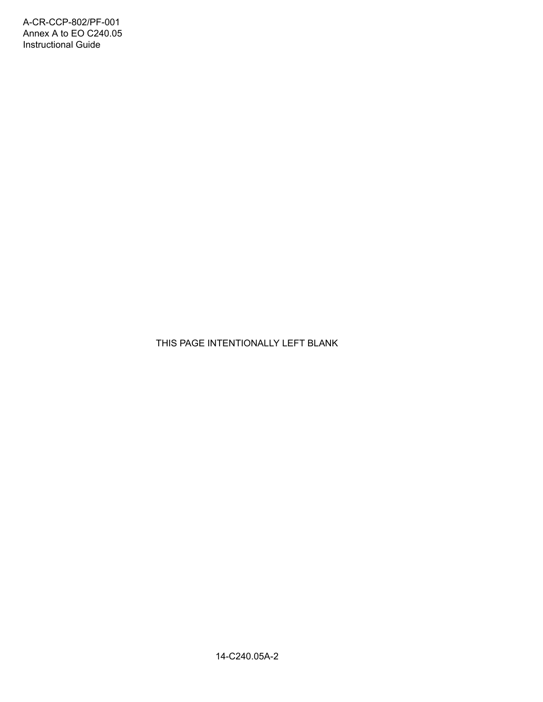THIS PAGE INTENTIONALLY LEFT BLANK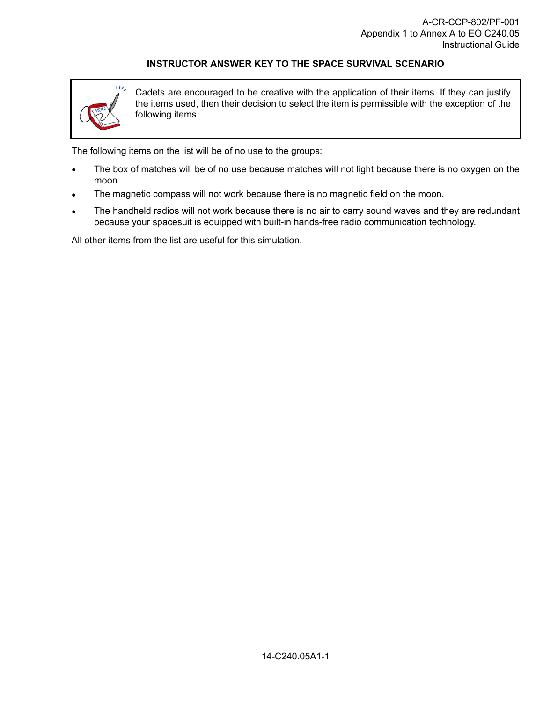# **INSTRUCTOR ANSWER KEY TO THE SPACE SURVIVAL SCENARIO**



Cadets are encouraged to be creative with the application of their items. If they can justify the items used, then their decision to select the item is permissible with the exception of the following items.

The following items on the list will be of no use to the groups:

- The box of matches will be of no use because matches will not light because there is no oxygen on the moon.
- The magnetic compass will not work because there is no magnetic field on the moon.
- The handheld radios will not work because there is no air to carry sound waves and they are redundant because your spacesuit is equipped with built-in hands-free radio communication technology.

All other items from the list are useful for this simulation.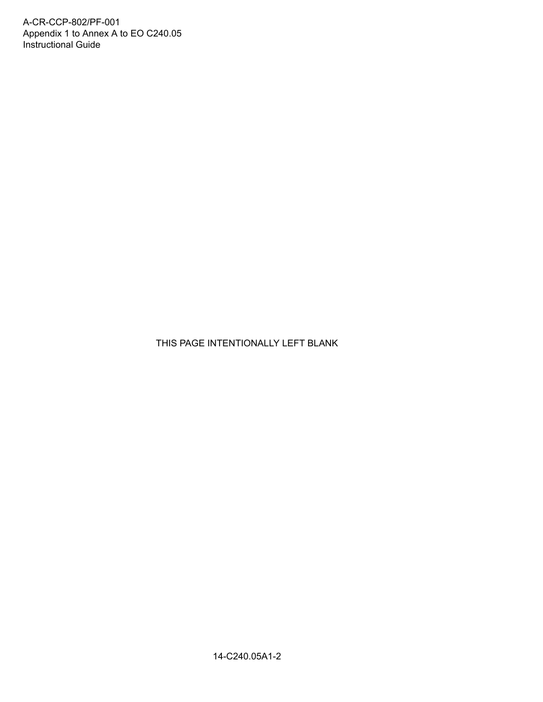A-CR-CCP-802/PF-001 Appendix 1 to Annex A to EO C240.05 Instructional Guide

# THIS PAGE INTENTIONALLY LEFT BLANK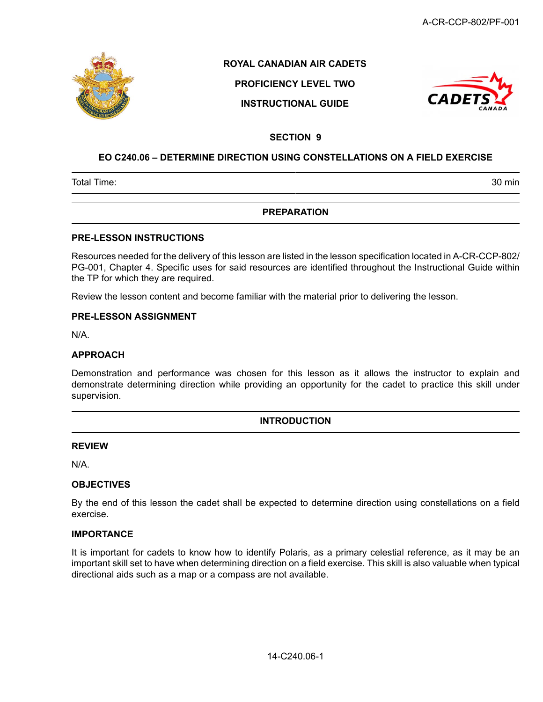

# **ROYAL CANADIAN AIR CADETS**

**PROFICIENCY LEVEL TWO**

# **INSTRUCTIONAL GUIDE**



## **SECTION 9**

## **EO C240.06 – DETERMINE DIRECTION USING CONSTELLATIONS ON A FIELD EXERCISE**

Total Time: 30 min

## **PREPARATION**

#### **PRE-LESSON INSTRUCTIONS**

Resources needed for the delivery of this lesson are listed in the lesson specification located in A-CR-CCP-802/ PG-001, Chapter 4. Specific uses for said resources are identified throughout the Instructional Guide within the TP for which they are required.

Review the lesson content and become familiar with the material prior to delivering the lesson.

#### **PRE-LESSON ASSIGNMENT**

N/A.

#### **APPROACH**

Demonstration and performance was chosen for this lesson as it allows the instructor to explain and demonstrate determining direction while providing an opportunity for the cadet to practice this skill under supervision.

## **INTRODUCTION**

#### **REVIEW**

N/A.

## **OBJECTIVES**

By the end of this lesson the cadet shall be expected to determine direction using constellations on a field exercise.

## **IMPORTANCE**

It is important for cadets to know how to identify Polaris, as a primary celestial reference, as it may be an important skill set to have when determining direction on a field exercise. This skill is also valuable when typical directional aids such as a map or a compass are not available.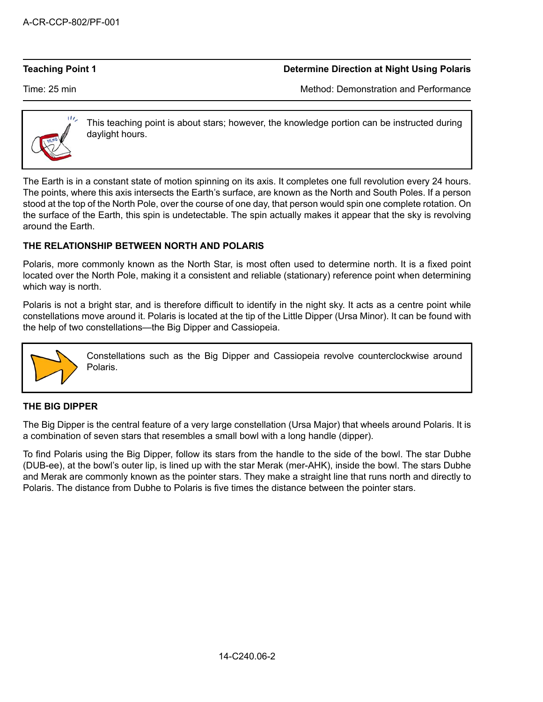**Teaching Point 1 Determine Direction at Night Using Polaris**

Time: 25 min Method: Demonstration and Performance



This teaching point is about stars; however, the knowledge portion can be instructed during daylight hours.

The Earth is in a constant state of motion spinning on its axis. It completes one full revolution every 24 hours. The points, where this axis intersects the Earth's surface, are known as the North and South Poles. If a person stood at the top of the North Pole, over the course of one day, that person would spin one complete rotation. On the surface of the Earth, this spin is undetectable. The spin actually makes it appear that the sky is revolving around the Earth.

## **THE RELATIONSHIP BETWEEN NORTH AND POLARIS**

Polaris, more commonly known as the North Star, is most often used to determine north. It is a fixed point located over the North Pole, making it a consistent and reliable (stationary) reference point when determining which way is north.

Polaris is not a bright star, and is therefore difficult to identify in the night sky. It acts as a centre point while constellations move around it. Polaris is located at the tip of the Little Dipper (Ursa Minor). It can be found with the help of two constellations—the Big Dipper and Cassiopeia.



## **THE BIG DIPPER**

The Big Dipper is the central feature of a very large constellation (Ursa Major) that wheels around Polaris. It is a combination of seven stars that resembles a small bowl with a long handle (dipper).

To find Polaris using the Big Dipper, follow its stars from the handle to the side of the bowl. The star Dubhe (DUB-ee), at the bowl's outer lip, is lined up with the star Merak (mer-AHK), inside the bowl. The stars Dubhe and Merak are commonly known as the pointer stars. They make a straight line that runs north and directly to Polaris. The distance from Dubhe to Polaris is five times the distance between the pointer stars.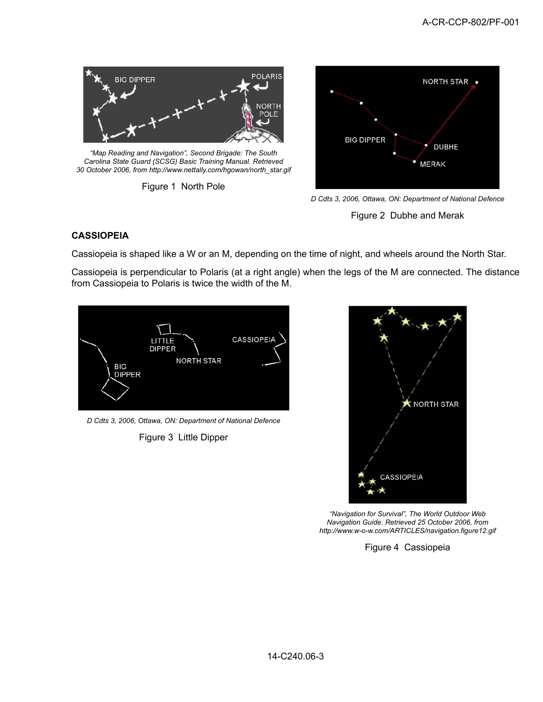

*"Map Reading and Navigation", Second Brigade: The South Carolina State Guard (SCSG) Basic Training Manual. Retrieved 30 October 2006, from http://www.nettally.com/hgowan/north\_star.gif*

Figure 1 North Pole



*D Cdts 3, 2006, Ottawa, ON: Department of National Defence* Figure 2 Dubhe and Merak

## **CASSIOPEIA**

Cassiopeia is shaped like a W or an M, depending on the time of night, and wheels around the North Star.

Cassiopeia is perpendicular to Polaris (at a right angle) when the legs of the M are connected. The distance from Cassiopeia to Polaris is twice the width of the M.



*D Cdts 3, 2006, Ottawa, ON: Department of National Defence*

Figure 3 Little Dipper



*"Navigation for Survival", The World Outdoor Web Navigation Guide. Retrieved 25 October 2006, from http://www.w-o-w.com/ARTICLES/navigation.figure12.gif*

Figure 4 Cassiopeia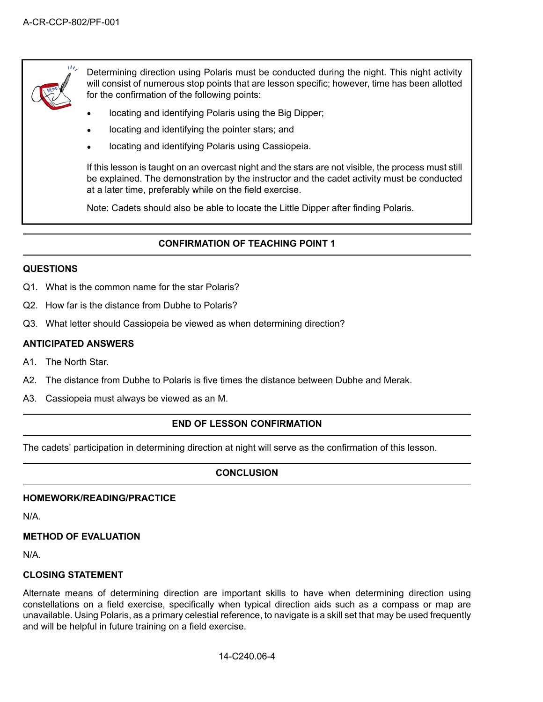

Determining direction using Polaris must be conducted during the night. This night activity will consist of numerous stop points that are lesson specific; however, time has been allotted for the confirmation of the following points:

- locating and identifying Polaris using the Big Dipper;
- locating and identifying the pointer stars; and
- locating and identifying Polaris using Cassiopeia.

If this lesson is taught on an overcast night and the stars are not visible, the process must still be explained. The demonstration by the instructor and the cadet activity must be conducted at a later time, preferably while on the field exercise.

Note: Cadets should also be able to locate the Little Dipper after finding Polaris.

## **CONFIRMATION OF TEACHING POINT 1**

#### **QUESTIONS**

- Q1. What is the common name for the star Polaris?
- Q2. How far is the distance from Dubhe to Polaris?
- Q3. What letter should Cassiopeia be viewed as when determining direction?

## **ANTICIPATED ANSWERS**

- A1. The North Star.
- A2. The distance from Dubhe to Polaris is five times the distance between Dubhe and Merak.
- A3. Cassiopeia must always be viewed as an M.

## **END OF LESSON CONFIRMATION**

The cadets' participation in determining direction at night will serve as the confirmation of this lesson.

## **CONCLUSION**

## **HOMEWORK/READING/PRACTICE**

N/A.

## **METHOD OF EVALUATION**

N/A.

## **CLOSING STATEMENT**

Alternate means of determining direction are important skills to have when determining direction using constellations on a field exercise, specifically when typical direction aids such as a compass or map are unavailable. Using Polaris, as a primary celestial reference, to navigate is a skill set that may be used frequently and will be helpful in future training on a field exercise.